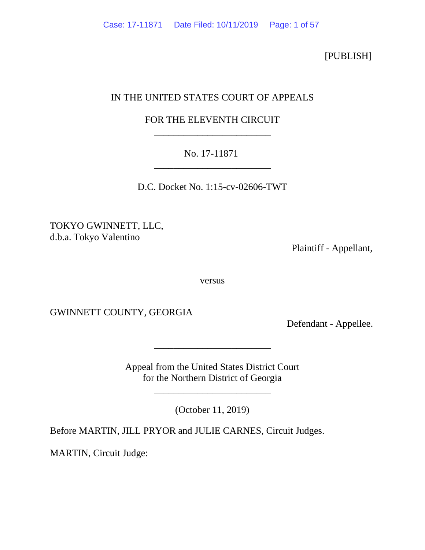[PUBLISH]

# IN THE UNITED STATES COURT OF APPEALS

# FOR THE ELEVENTH CIRCUIT \_\_\_\_\_\_\_\_\_\_\_\_\_\_\_\_\_\_\_\_\_\_\_\_

# No. 17-11871 \_\_\_\_\_\_\_\_\_\_\_\_\_\_\_\_\_\_\_\_\_\_\_\_

D.C. Docket No. 1:15-cv-02606-TWT

TOKYO GWINNETT, LLC, d.b.a. Tokyo Valentino

Plaintiff - Appellant,

versus

GWINNETT COUNTY, GEORGIA

Defendant - Appellee.

Appeal from the United States District Court for the Northern District of Georgia

\_\_\_\_\_\_\_\_\_\_\_\_\_\_\_\_\_\_\_\_\_\_\_\_

(October 11, 2019)

\_\_\_\_\_\_\_\_\_\_\_\_\_\_\_\_\_\_\_\_\_\_\_\_

Before MARTIN, JILL PRYOR and JULIE CARNES, Circuit Judges.

MARTIN, Circuit Judge: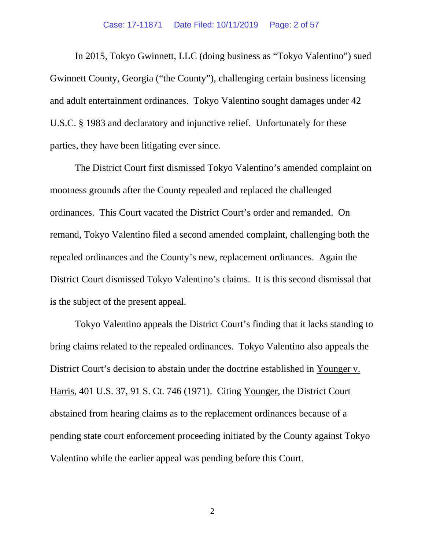#### Case: 17-11871 Date Filed: 10/11/2019 Page: 2 of 57

In 2015, Tokyo Gwinnett, LLC (doing business as "Tokyo Valentino") sued Gwinnett County, Georgia ("the County"), challenging certain business licensing and adult entertainment ordinances. Tokyo Valentino sought damages under 42 U.S.C. § 1983 and declaratory and injunctive relief. Unfortunately for these parties, they have been litigating ever since.

The District Court first dismissed Tokyo Valentino's amended complaint on mootness grounds after the County repealed and replaced the challenged ordinances. This Court vacated the District Court's order and remanded. On remand, Tokyo Valentino filed a second amended complaint, challenging both the repealed ordinances and the County's new, replacement ordinances. Again the District Court dismissed Tokyo Valentino's claims. It is this second dismissal that is the subject of the present appeal.

Tokyo Valentino appeals the District Court's finding that it lacks standing to bring claims related to the repealed ordinances. Tokyo Valentino also appeals the District Court's decision to abstain under the doctrine established in Younger v. Harris, 401 U.S. 37, 91 S. Ct. 746 (1971). Citing Younger, the District Court abstained from hearing claims as to the replacement ordinances because of a pending state court enforcement proceeding initiated by the County against Tokyo Valentino while the earlier appeal was pending before this Court.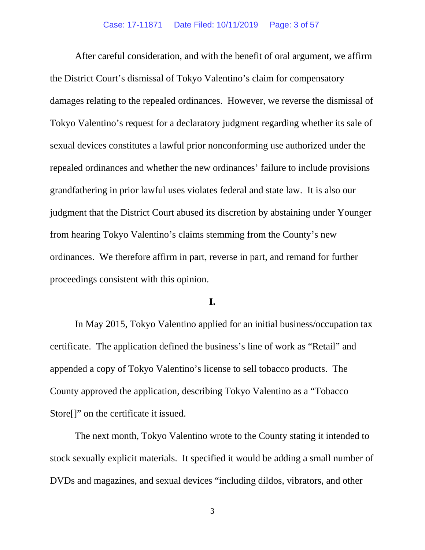After careful consideration, and with the benefit of oral argument, we affirm the District Court's dismissal of Tokyo Valentino's claim for compensatory damages relating to the repealed ordinances. However, we reverse the dismissal of Tokyo Valentino's request for a declaratory judgment regarding whether its sale of sexual devices constitutes a lawful prior nonconforming use authorized under the repealed ordinances and whether the new ordinances' failure to include provisions grandfathering in prior lawful uses violates federal and state law. It is also our judgment that the District Court abused its discretion by abstaining under Younger from hearing Tokyo Valentino's claims stemming from the County's new ordinances. We therefore affirm in part, reverse in part, and remand for further proceedings consistent with this opinion.

#### **I.**

In May 2015, Tokyo Valentino applied for an initial business/occupation tax certificate. The application defined the business's line of work as "Retail" and appended a copy of Tokyo Valentino's license to sell tobacco products. The County approved the application, describing Tokyo Valentino as a "Tobacco Store[]" on the certificate it issued.

The next month, Tokyo Valentino wrote to the County stating it intended to stock sexually explicit materials. It specified it would be adding a small number of DVDs and magazines, and sexual devices "including dildos, vibrators, and other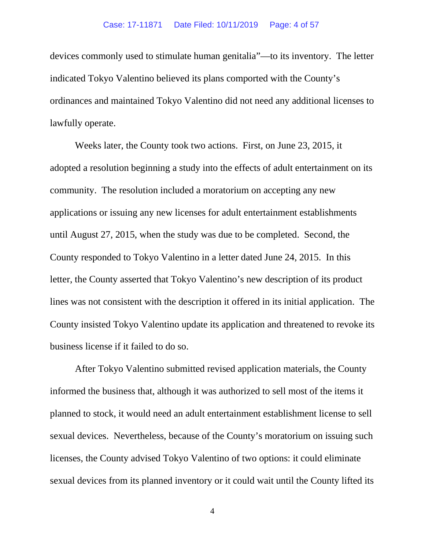#### Case: 17-11871 Date Filed: 10/11/2019 Page: 4 of 57

devices commonly used to stimulate human genitalia"—to its inventory. The letter indicated Tokyo Valentino believed its plans comported with the County's ordinances and maintained Tokyo Valentino did not need any additional licenses to lawfully operate.

Weeks later, the County took two actions. First, on June 23, 2015, it adopted a resolution beginning a study into the effects of adult entertainment on its community. The resolution included a moratorium on accepting any new applications or issuing any new licenses for adult entertainment establishments until August 27, 2015, when the study was due to be completed. Second, the County responded to Tokyo Valentino in a letter dated June 24, 2015. In this letter, the County asserted that Tokyo Valentino's new description of its product lines was not consistent with the description it offered in its initial application. The County insisted Tokyo Valentino update its application and threatened to revoke its business license if it failed to do so.

After Tokyo Valentino submitted revised application materials, the County informed the business that, although it was authorized to sell most of the items it planned to stock, it would need an adult entertainment establishment license to sell sexual devices. Nevertheless, because of the County's moratorium on issuing such licenses, the County advised Tokyo Valentino of two options: it could eliminate sexual devices from its planned inventory or it could wait until the County lifted its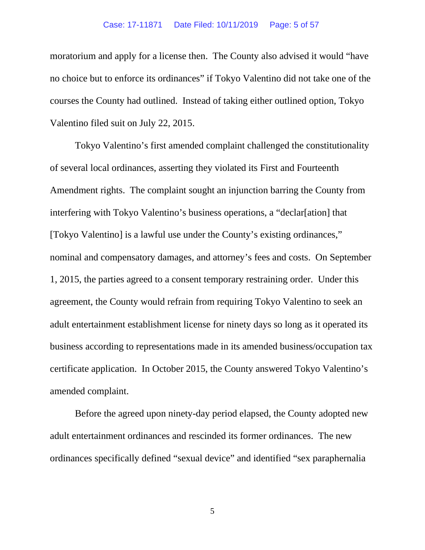#### Case: 17-11871 Date Filed: 10/11/2019 Page: 5 of 57

moratorium and apply for a license then. The County also advised it would "have no choice but to enforce its ordinances" if Tokyo Valentino did not take one of the courses the County had outlined. Instead of taking either outlined option, Tokyo Valentino filed suit on July 22, 2015.

Tokyo Valentino's first amended complaint challenged the constitutionality of several local ordinances, asserting they violated its First and Fourteenth Amendment rights. The complaint sought an injunction barring the County from interfering with Tokyo Valentino's business operations, a "declar[ation] that [Tokyo Valentino] is a lawful use under the County's existing ordinances," nominal and compensatory damages, and attorney's fees and costs. On September 1, 2015, the parties agreed to a consent temporary restraining order. Under this agreement, the County would refrain from requiring Tokyo Valentino to seek an adult entertainment establishment license for ninety days so long as it operated its business according to representations made in its amended business/occupation tax certificate application. In October 2015, the County answered Tokyo Valentino's amended complaint.

Before the agreed upon ninety-day period elapsed, the County adopted new adult entertainment ordinances and rescinded its former ordinances. The new ordinances specifically defined "sexual device" and identified "sex paraphernalia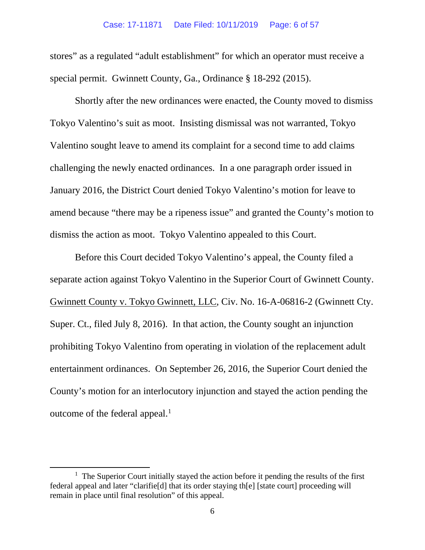stores" as a regulated "adult establishment" for which an operator must receive a special permit. Gwinnett County, Ga., Ordinance § 18-292 (2015).

Shortly after the new ordinances were enacted, the County moved to dismiss Tokyo Valentino's suit as moot. Insisting dismissal was not warranted, Tokyo Valentino sought leave to amend its complaint for a second time to add claims challenging the newly enacted ordinances. In a one paragraph order issued in January 2016, the District Court denied Tokyo Valentino's motion for leave to amend because "there may be a ripeness issue" and granted the County's motion to dismiss the action as moot. Tokyo Valentino appealed to this Court.

Before this Court decided Tokyo Valentino's appeal, the County filed a separate action against Tokyo Valentino in the Superior Court of Gwinnett County. Gwinnett County v. Tokyo Gwinnett, LLC, Civ. No. 16-A-06816-2 (Gwinnett Cty. Super. Ct., filed July 8, 2016). In that action, the County sought an injunction prohibiting Tokyo Valentino from operating in violation of the replacement adult entertainment ordinances. On September 26, 2016, the Superior Court denied the County's motion for an interlocutory injunction and stayed the action pending the outcome of the federal appeal.<sup>[1](#page-5-0)</sup>

<span id="page-5-0"></span><sup>&</sup>lt;sup>1</sup> The Superior Court initially stayed the action before it pending the results of the first federal appeal and later "clarifie[d] that its order staying th[e] [state court] proceeding will remain in place until final resolution" of this appeal.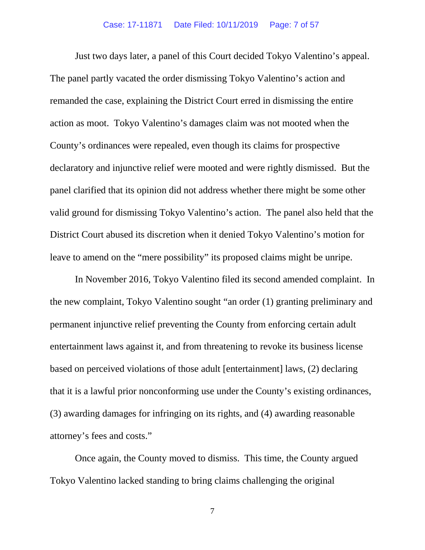Just two days later, a panel of this Court decided Tokyo Valentino's appeal. The panel partly vacated the order dismissing Tokyo Valentino's action and remanded the case, explaining the District Court erred in dismissing the entire action as moot. Tokyo Valentino's damages claim was not mooted when the County's ordinances were repealed, even though its claims for prospective declaratory and injunctive relief were mooted and were rightly dismissed. But the panel clarified that its opinion did not address whether there might be some other valid ground for dismissing Tokyo Valentino's action. The panel also held that the District Court abused its discretion when it denied Tokyo Valentino's motion for leave to amend on the "mere possibility" its proposed claims might be unripe.

In November 2016, Tokyo Valentino filed its second amended complaint. In the new complaint, Tokyo Valentino sought "an order (1) granting preliminary and permanent injunctive relief preventing the County from enforcing certain adult entertainment laws against it, and from threatening to revoke its business license based on perceived violations of those adult [entertainment] laws, (2) declaring that it is a lawful prior nonconforming use under the County's existing ordinances, (3) awarding damages for infringing on its rights, and (4) awarding reasonable attorney's fees and costs."

Once again, the County moved to dismiss. This time, the County argued Tokyo Valentino lacked standing to bring claims challenging the original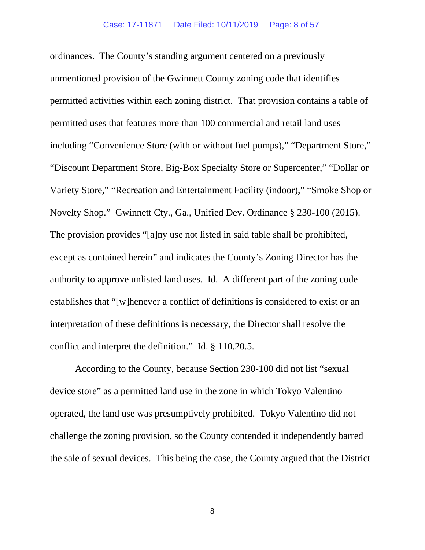ordinances. The County's standing argument centered on a previously unmentioned provision of the Gwinnett County zoning code that identifies permitted activities within each zoning district. That provision contains a table of permitted uses that features more than 100 commercial and retail land uses including "Convenience Store (with or without fuel pumps)," "Department Store," "Discount Department Store, Big-Box Specialty Store or Supercenter," "Dollar or Variety Store," "Recreation and Entertainment Facility (indoor)," "Smoke Shop or Novelty Shop." Gwinnett Cty., Ga., Unified Dev. Ordinance § 230-100 (2015). The provision provides "[a]ny use not listed in said table shall be prohibited, except as contained herein" and indicates the County's Zoning Director has the authority to approve unlisted land uses. Id. A different part of the zoning code establishes that "[w]henever a conflict of definitions is considered to exist or an interpretation of these definitions is necessary, the Director shall resolve the conflict and interpret the definition." Id. § 110.20.5.

According to the County, because Section 230-100 did not list "sexual device store" as a permitted land use in the zone in which Tokyo Valentino operated, the land use was presumptively prohibited. Tokyo Valentino did not challenge the zoning provision, so the County contended it independently barred the sale of sexual devices. This being the case, the County argued that the District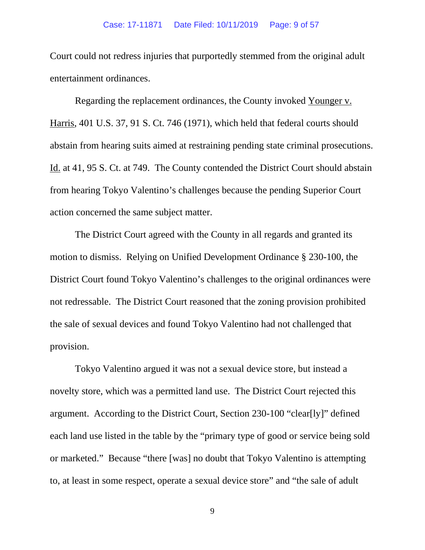Court could not redress injuries that purportedly stemmed from the original adult entertainment ordinances.

Regarding the replacement ordinances, the County invoked Younger v. Harris, 401 U.S. 37, 91 S. Ct. 746 (1971), which held that federal courts should abstain from hearing suits aimed at restraining pending state criminal prosecutions. Id. at 41, 95 S. Ct. at 749. The County contended the District Court should abstain from hearing Tokyo Valentino's challenges because the pending Superior Court action concerned the same subject matter.

The District Court agreed with the County in all regards and granted its motion to dismiss. Relying on Unified Development Ordinance § 230-100, the District Court found Tokyo Valentino's challenges to the original ordinances were not redressable. The District Court reasoned that the zoning provision prohibited the sale of sexual devices and found Tokyo Valentino had not challenged that provision.

Tokyo Valentino argued it was not a sexual device store, but instead a novelty store, which was a permitted land use. The District Court rejected this argument. According to the District Court, Section 230-100 "clear[ly]" defined each land use listed in the table by the "primary type of good or service being sold or marketed." Because "there [was] no doubt that Tokyo Valentino is attempting to, at least in some respect, operate a sexual device store" and "the sale of adult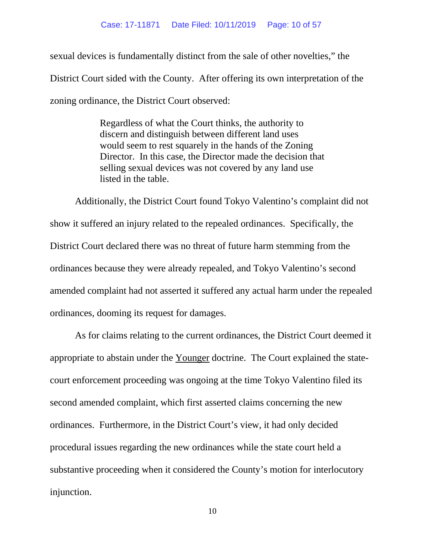sexual devices is fundamentally distinct from the sale of other novelties," the District Court sided with the County. After offering its own interpretation of the zoning ordinance, the District Court observed:

> Regardless of what the Court thinks, the authority to discern and distinguish between different land uses would seem to rest squarely in the hands of the Zoning Director. In this case, the Director made the decision that selling sexual devices was not covered by any land use listed in the table.

Additionally, the District Court found Tokyo Valentino's complaint did not show it suffered an injury related to the repealed ordinances. Specifically, the District Court declared there was no threat of future harm stemming from the ordinances because they were already repealed, and Tokyo Valentino's second amended complaint had not asserted it suffered any actual harm under the repealed ordinances, dooming its request for damages.

As for claims relating to the current ordinances, the District Court deemed it appropriate to abstain under the Younger doctrine. The Court explained the statecourt enforcement proceeding was ongoing at the time Tokyo Valentino filed its second amended complaint, which first asserted claims concerning the new ordinances. Furthermore, in the District Court's view, it had only decided procedural issues regarding the new ordinances while the state court held a substantive proceeding when it considered the County's motion for interlocutory injunction.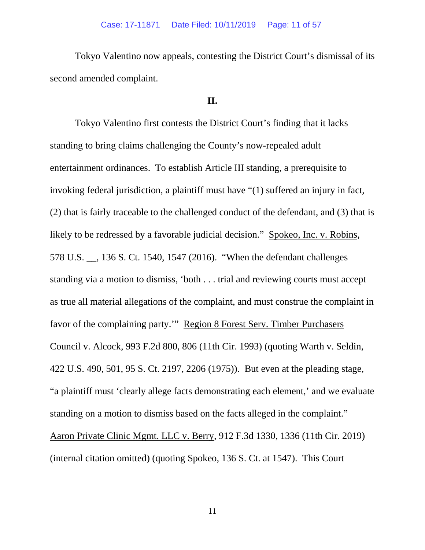Tokyo Valentino now appeals, contesting the District Court's dismissal of its second amended complaint.

## **II.**

Tokyo Valentino first contests the District Court's finding that it lacks standing to bring claims challenging the County's now-repealed adult entertainment ordinances. To establish Article III standing, a prerequisite to invoking federal jurisdiction, a plaintiff must have "(1) suffered an injury in fact, (2) that is fairly traceable to the challenged conduct of the defendant, and (3) that is likely to be redressed by a favorable judicial decision." Spokeo, Inc. v. Robins, 578 U.S. \_\_, 136 S. Ct. 1540, 1547 (2016). "When the defendant challenges standing via a motion to dismiss, 'both . . . trial and reviewing courts must accept as true all material allegations of the complaint, and must construe the complaint in favor of the complaining party.'" Region 8 Forest Serv. Timber Purchasers Council v. Alcock, 993 F.2d 800, 806 (11th Cir. 1993) (quoting Warth v. Seldin, 422 U.S. 490, 501, 95 S. Ct. 2197, 2206 (1975)). But even at the pleading stage, "a plaintiff must 'clearly allege facts demonstrating each element,' and we evaluate standing on a motion to dismiss based on the facts alleged in the complaint." Aaron Private Clinic Mgmt. LLC v. Berry, 912 F.3d 1330, 1336 (11th Cir. 2019) (internal citation omitted) (quoting Spokeo, 136 S. Ct. at 1547). This Court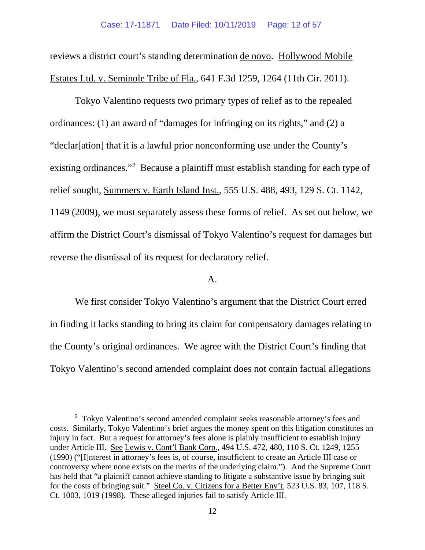reviews a district court's standing determination de novo. Hollywood Mobile Estates Ltd. v. Seminole Tribe of Fla., 641 F.3d 1259, 1264 (11th Cir. 2011).

Tokyo Valentino requests two primary types of relief as to the repealed ordinances: (1) an award of "damages for infringing on its rights," and (2) a "declar[ation] that it is a lawful prior nonconforming use under the County's existing ordinances."<sup>[2](#page-11-0)</sup> Because a plaintiff must establish standing for each type of relief sought, Summers v. Earth Island Inst., 555 U.S. 488, 493, 129 S. Ct. 1142, 1149 (2009), we must separately assess these forms of relief. As set out below, we affirm the District Court's dismissal of Tokyo Valentino's request for damages but reverse the dismissal of its request for declaratory relief.

### A.

We first consider Tokyo Valentino's argument that the District Court erred in finding it lacks standing to bring its claim for compensatory damages relating to the County's original ordinances. We agree with the District Court's finding that Tokyo Valentino's second amended complaint does not contain factual allegations

<span id="page-11-0"></span><sup>&</sup>lt;sup>2</sup> Tokyo Valentino's second amended complaint seeks reasonable attorney's fees and costs. Similarly, Tokyo Valentino's brief argues the money spent on this litigation constitutes an injury in fact. But a request for attorney's fees alone is plainly insufficient to establish injury under Article III. See Lewis v. Cont'l Bank Corp., 494 U.S. 472, 480, 110 S. Ct. 1249, 1255 (1990) ("[I]nterest in attorney's fees is, of course, insufficient to create an Article III case or controversy where none exists on the merits of the underlying claim."). And the Supreme Court has held that "a plaintiff cannot achieve standing to litigate a substantive issue by bringing suit for the costs of bringing suit." Steel Co. v. Citizens for a Better Env't, 523 U.S. 83, 107, 118 S. Ct. 1003, 1019 (1998). These alleged injuries fail to satisfy Article III.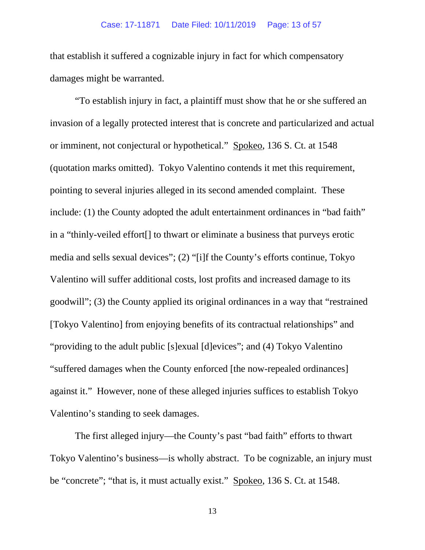that establish it suffered a cognizable injury in fact for which compensatory damages might be warranted.

"To establish injury in fact, a plaintiff must show that he or she suffered an invasion of a legally protected interest that is concrete and particularized and actual or imminent, not conjectural or hypothetical." Spokeo, 136 S. Ct. at 1548 (quotation marks omitted). Tokyo Valentino contends it met this requirement, pointing to several injuries alleged in its second amended complaint. These include: (1) the County adopted the adult entertainment ordinances in "bad faith" in a "thinly-veiled effort[] to thwart or eliminate a business that purveys erotic media and sells sexual devices"; (2) "[i]f the County's efforts continue, Tokyo Valentino will suffer additional costs, lost profits and increased damage to its goodwill"; (3) the County applied its original ordinances in a way that "restrained [Tokyo Valentino] from enjoying benefits of its contractual relationships" and "providing to the adult public [s]exual [d]evices"; and (4) Tokyo Valentino "suffered damages when the County enforced [the now-repealed ordinances] against it." However, none of these alleged injuries suffices to establish Tokyo Valentino's standing to seek damages.

The first alleged injury—the County's past "bad faith" efforts to thwart Tokyo Valentino's business—is wholly abstract. To be cognizable, an injury must be "concrete"; "that is, it must actually exist." Spokeo, 136 S. Ct. at 1548.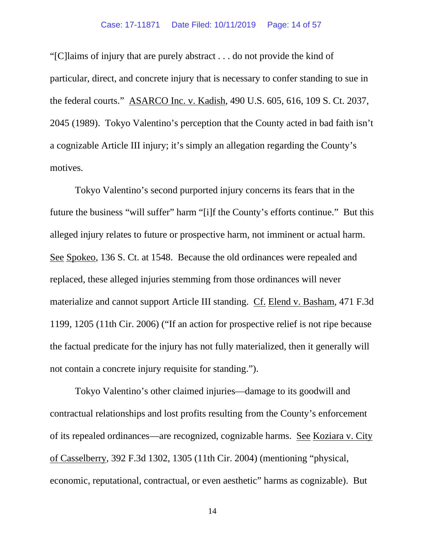#### Case: 17-11871 Date Filed: 10/11/2019 Page: 14 of 57

"[C]laims of injury that are purely abstract . . . do not provide the kind of particular, direct, and concrete injury that is necessary to confer standing to sue in the federal courts." ASARCO Inc. v. Kadish, 490 U.S. 605, 616, 109 S. Ct. 2037, 2045 (1989). Tokyo Valentino's perception that the County acted in bad faith isn't a cognizable Article III injury; it's simply an allegation regarding the County's motives.

Tokyo Valentino's second purported injury concerns its fears that in the future the business "will suffer" harm "[i]f the County's efforts continue." But this alleged injury relates to future or prospective harm, not imminent or actual harm. See Spokeo, 136 S. Ct. at 1548. Because the old ordinances were repealed and replaced, these alleged injuries stemming from those ordinances will never materialize and cannot support Article III standing. Cf. Elend v. Basham, 471 F.3d 1199, 1205 (11th Cir. 2006) ("If an action for prospective relief is not ripe because the factual predicate for the injury has not fully materialized, then it generally will not contain a concrete injury requisite for standing.").

Tokyo Valentino's other claimed injuries—damage to its goodwill and contractual relationships and lost profits resulting from the County's enforcement of its repealed ordinances—are recognized, cognizable harms. See Koziara v. City of Casselberry, 392 F.3d 1302, 1305 (11th Cir. 2004) (mentioning "physical, economic, reputational, contractual, or even aesthetic" harms as cognizable). But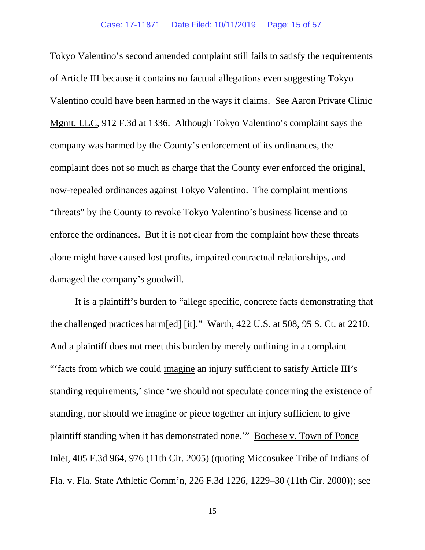Tokyo Valentino's second amended complaint still fails to satisfy the requirements of Article III because it contains no factual allegations even suggesting Tokyo Valentino could have been harmed in the ways it claims. See Aaron Private Clinic Mgmt. LLC, 912 F.3d at 1336. Although Tokyo Valentino's complaint says the company was harmed by the County's enforcement of its ordinances, the complaint does not so much as charge that the County ever enforced the original, now-repealed ordinances against Tokyo Valentino. The complaint mentions "threats" by the County to revoke Tokyo Valentino's business license and to enforce the ordinances. But it is not clear from the complaint how these threats alone might have caused lost profits, impaired contractual relationships, and damaged the company's goodwill.

It is a plaintiff's burden to "allege specific, concrete facts demonstrating that the challenged practices harm[ed] [it]." Warth, 422 U.S. at 508, 95 S. Ct. at 2210. And a plaintiff does not meet this burden by merely outlining in a complaint "facts from which we could imagine an injury sufficient to satisfy Article III's standing requirements,' since 'we should not speculate concerning the existence of standing, nor should we imagine or piece together an injury sufficient to give plaintiff standing when it has demonstrated none.'" Bochese v. Town of Ponce Inlet, 405 F.3d 964, 976 (11th Cir. 2005) (quoting Miccosukee Tribe of Indians of Fla. v. Fla. State Athletic Comm'n, 226 F.3d 1226, 1229–30 (11th Cir. 2000)); see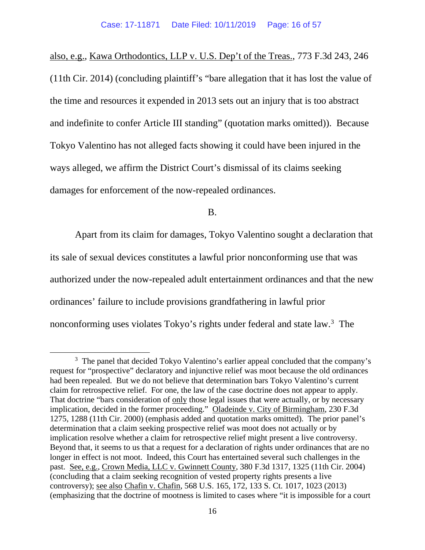also, e.g., Kawa Orthodontics, LLP v. U.S. Dep't of the Treas., 773 F.3d 243, 246 (11th Cir. 2014) (concluding plaintiff's "bare allegation that it has lost the value of the time and resources it expended in 2013 sets out an injury that is too abstract and indefinite to confer Article III standing" (quotation marks omitted)). Because Tokyo Valentino has not alleged facts showing it could have been injured in the ways alleged, we affirm the District Court's dismissal of its claims seeking damages for enforcement of the now-repealed ordinances.

B.

Apart from its claim for damages, Tokyo Valentino sought a declaration that its sale of sexual devices constitutes a lawful prior nonconforming use that was authorized under the now-repealed adult entertainment ordinances and that the new ordinances' failure to include provisions grandfathering in lawful prior nonconforming uses violates Tokyo's rights under federal and state law. [3](#page-15-0) The

<span id="page-15-0"></span><sup>&</sup>lt;sup>3</sup> The panel that decided Tokyo Valentino's earlier appeal concluded that the company's request for "prospective" declaratory and injunctive relief was moot because the old ordinances had been repealed. But we do not believe that determination bars Tokyo Valentino's current claim for retrospective relief. For one, the law of the case doctrine does not appear to apply. That doctrine "bars consideration of only those legal issues that were actually, or by necessary implication, decided in the former proceeding." Oladeinde v. City of Birmingham, 230 F.3d 1275, 1288 (11th Cir. 2000) (emphasis added and quotation marks omitted). The prior panel's determination that a claim seeking prospective relief was moot does not actually or by implication resolve whether a claim for retrospective relief might present a live controversy. Beyond that, it seems to us that a request for a declaration of rights under ordinances that are no longer in effect is not moot. Indeed, this Court has entertained several such challenges in the past. See, e.g., Crown Media, LLC v. Gwinnett County, 380 F.3d 1317, 1325 (11th Cir. 2004) (concluding that a claim seeking recognition of vested property rights presents a live controversy); see also Chafin v. Chafin, 568 U.S. 165, 172, 133 S. Ct. 1017, 1023 (2013) (emphasizing that the doctrine of mootness is limited to cases where "it is impossible for a court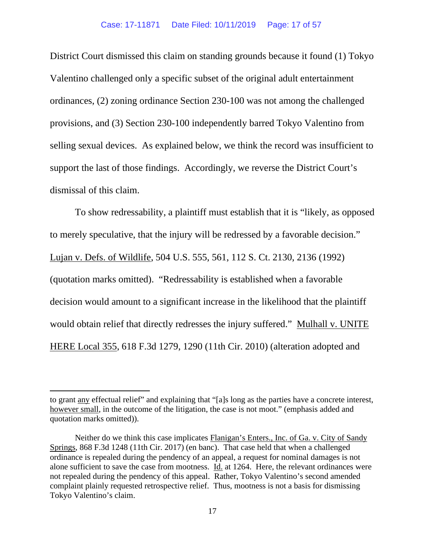District Court dismissed this claim on standing grounds because it found (1) Tokyo Valentino challenged only a specific subset of the original adult entertainment ordinances, (2) zoning ordinance Section 230-100 was not among the challenged provisions, and (3) Section 230-100 independently barred Tokyo Valentino from selling sexual devices. As explained below, we think the record was insufficient to support the last of those findings. Accordingly, we reverse the District Court's dismissal of this claim.

To show redressability, a plaintiff must establish that it is "likely, as opposed to merely speculative, that the injury will be redressed by a favorable decision." Lujan v. Defs. of Wildlife, 504 U.S. 555, 561, 112 S. Ct. 2130, 2136 (1992) (quotation marks omitted). "Redressability is established when a favorable decision would amount to a significant increase in the likelihood that the plaintiff would obtain relief that directly redresses the injury suffered." Mulhall v. UNITE HERE Local 355, 618 F.3d 1279, 1290 (11th Cir. 2010) (alteration adopted and

to grant any effectual relief" and explaining that "[a]s long as the parties have a concrete interest, however small, in the outcome of the litigation, the case is not moot." (emphasis added and quotation marks omitted)).

Neither do we think this case implicates Flanigan's Enters., Inc. of Ga. v. City of Sandy Springs, 868 F.3d 1248 (11th Cir. 2017) (en banc). That case held that when a challenged ordinance is repealed during the pendency of an appeal, a request for nominal damages is not alone sufficient to save the case from mootness. Id. at 1264. Here, the relevant ordinances were not repealed during the pendency of this appeal. Rather, Tokyo Valentino's second amended complaint plainly requested retrospective relief. Thus, mootness is not a basis for dismissing Tokyo Valentino's claim.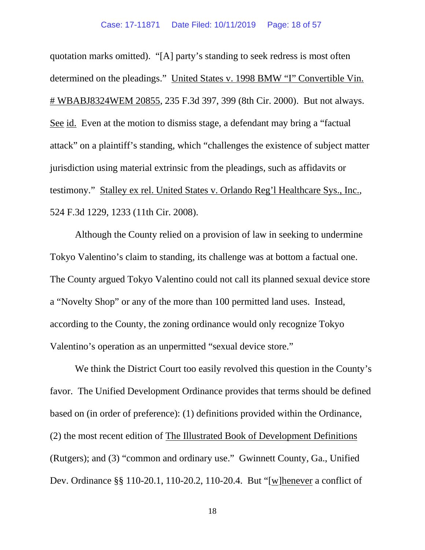quotation marks omitted). "[A] party's standing to seek redress is most often determined on the pleadings." United States v. 1998 BMW "I" Convertible Vin. # WBABJ8324WEM 20855, 235 F.3d 397, 399 (8th Cir. 2000). But not always. See id. Even at the motion to dismiss stage, a defendant may bring a "factual attack" on a plaintiff's standing, which "challenges the existence of subject matter jurisdiction using material extrinsic from the pleadings, such as affidavits or testimony." Stalley ex rel. United States v. Orlando Reg'l Healthcare Sys., Inc., 524 F.3d 1229, 1233 (11th Cir. 2008).

Although the County relied on a provision of law in seeking to undermine Tokyo Valentino's claim to standing, its challenge was at bottom a factual one. The County argued Tokyo Valentino could not call its planned sexual device store a "Novelty Shop" or any of the more than 100 permitted land uses. Instead, according to the County, the zoning ordinance would only recognize Tokyo Valentino's operation as an unpermitted "sexual device store."

We think the District Court too easily revolved this question in the County's favor. The Unified Development Ordinance provides that terms should be defined based on (in order of preference): (1) definitions provided within the Ordinance, (2) the most recent edition of The Illustrated Book of Development Definitions (Rutgers); and (3) "common and ordinary use." Gwinnett County, Ga., Unified Dev. Ordinance §§ 110-20.1, 110-20.2, 110-20.4. But "[w]henever a conflict of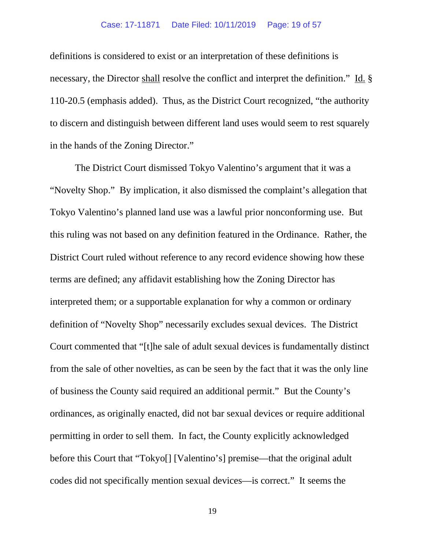definitions is considered to exist or an interpretation of these definitions is necessary, the Director shall resolve the conflict and interpret the definition." Id. § 110-20.5 (emphasis added). Thus, as the District Court recognized, "the authority to discern and distinguish between different land uses would seem to rest squarely in the hands of the Zoning Director."

The District Court dismissed Tokyo Valentino's argument that it was a "Novelty Shop." By implication, it also dismissed the complaint's allegation that Tokyo Valentino's planned land use was a lawful prior nonconforming use. But this ruling was not based on any definition featured in the Ordinance. Rather, the District Court ruled without reference to any record evidence showing how these terms are defined; any affidavit establishing how the Zoning Director has interpreted them; or a supportable explanation for why a common or ordinary definition of "Novelty Shop" necessarily excludes sexual devices. The District Court commented that "[t]he sale of adult sexual devices is fundamentally distinct from the sale of other novelties, as can be seen by the fact that it was the only line of business the County said required an additional permit." But the County's ordinances, as originally enacted, did not bar sexual devices or require additional permitting in order to sell them. In fact, the County explicitly acknowledged before this Court that "Tokyo[] [Valentino's] premise—that the original adult codes did not specifically mention sexual devices—is correct." It seems the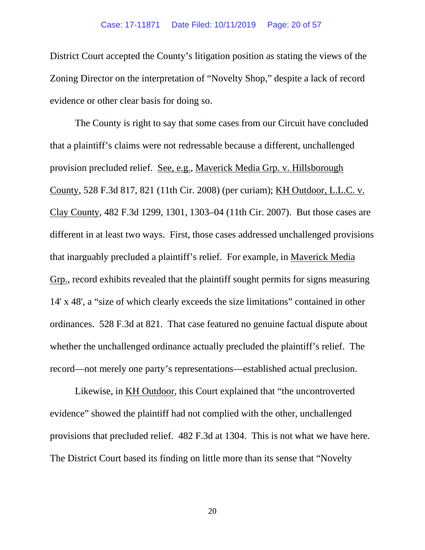District Court accepted the County's litigation position as stating the views of the Zoning Director on the interpretation of "Novelty Shop," despite a lack of record evidence or other clear basis for doing so.

The County is right to say that some cases from our Circuit have concluded that a plaintiff's claims were not redressable because a different, unchallenged provision precluded relief. See, e.g., Maverick Media Grp. v. Hillsborough County, 528 F.3d 817, 821 (11th Cir. 2008) (per curiam); KH Outdoor, L.L.C. v. Clay County, 482 F.3d 1299, 1301, 1303–04 (11th Cir. 2007). But those cases are different in at least two ways. First, those cases addressed unchallenged provisions that inarguably precluded a plaintiff's relief. For example, in Maverick Media Grp., record exhibits revealed that the plaintiff sought permits for signs measuring 14' x 48', a "size of which clearly exceeds the size limitations" contained in other ordinances. 528 F.3d at 821. That case featured no genuine factual dispute about whether the unchallenged ordinance actually precluded the plaintiff's relief. The record—not merely one party's representations—established actual preclusion.

Likewise, in KH Outdoor, this Court explained that "the uncontroverted evidence" showed the plaintiff had not complied with the other, unchallenged provisions that precluded relief. 482 F.3d at 1304. This is not what we have here. The District Court based its finding on little more than its sense that "Novelty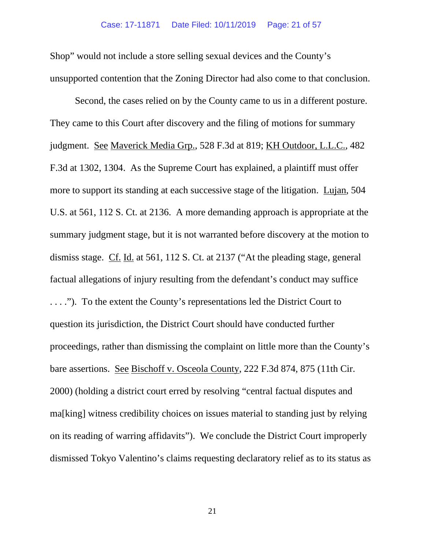Shop" would not include a store selling sexual devices and the County's unsupported contention that the Zoning Director had also come to that conclusion.

Second, the cases relied on by the County came to us in a different posture. They came to this Court after discovery and the filing of motions for summary judgment. See Maverick Media Grp., 528 F.3d at 819; KH Outdoor, L.L.C., 482 F.3d at 1302, 1304. As the Supreme Court has explained, a plaintiff must offer more to support its standing at each successive stage of the litigation. Lujan, 504 U.S. at 561, 112 S. Ct. at 2136. A more demanding approach is appropriate at the summary judgment stage, but it is not warranted before discovery at the motion to dismiss stage. Cf. Id. at 561, 112 S. Ct. at 2137 ("At the pleading stage, general factual allegations of injury resulting from the defendant's conduct may suffice . . . ."). To the extent the County's representations led the District Court to question its jurisdiction, the District Court should have conducted further proceedings, rather than dismissing the complaint on little more than the County's bare assertions. See Bischoff v. Osceola County, 222 F.3d 874, 875 (11th Cir. 2000) (holding a district court erred by resolving "central factual disputes and ma[king] witness credibility choices on issues material to standing just by relying on its reading of warring affidavits"). We conclude the District Court improperly dismissed Tokyo Valentino's claims requesting declaratory relief as to its status as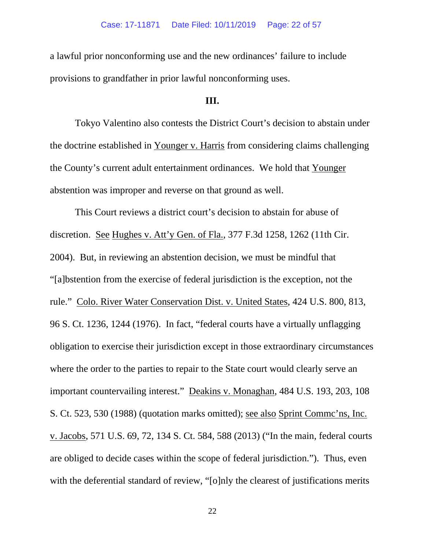a lawful prior nonconforming use and the new ordinances' failure to include provisions to grandfather in prior lawful nonconforming uses.

## **III.**

Tokyo Valentino also contests the District Court's decision to abstain under the doctrine established in Younger v. Harris from considering claims challenging the County's current adult entertainment ordinances. We hold that Younger abstention was improper and reverse on that ground as well.

This Court reviews a district court's decision to abstain for abuse of discretion. See Hughes v. Att'y Gen. of Fla., 377 F.3d 1258, 1262 (11th Cir. 2004). But, in reviewing an abstention decision, we must be mindful that "[a]bstention from the exercise of federal jurisdiction is the exception, not the rule." Colo. River Water Conservation Dist. v. United States, 424 U.S. 800, 813, 96 S. Ct. 1236, 1244 (1976). In fact, "federal courts have a virtually unflagging obligation to exercise their jurisdiction except in those extraordinary circumstances where the order to the parties to repair to the State court would clearly serve an important countervailing interest." Deakins v. Monaghan, 484 U.S. 193, 203, 108 S. Ct. 523, 530 (1988) (quotation marks omitted); see also Sprint Commc'ns, Inc. v. Jacobs, 571 U.S. 69, 72, 134 S. Ct. 584, 588 (2013) ("In the main, federal courts are obliged to decide cases within the scope of federal jurisdiction."). Thus, even with the deferential standard of review, "[o]nly the clearest of justifications merits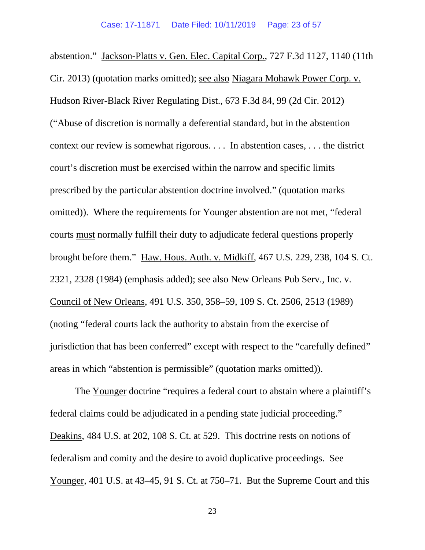abstention." Jackson-Platts v. Gen. Elec. Capital Corp., 727 F.3d 1127, 1140 (11th Cir. 2013) (quotation marks omitted); see also Niagara Mohawk Power Corp. v. Hudson River-Black River Regulating Dist., 673 F.3d 84, 99 (2d Cir. 2012) ("Abuse of discretion is normally a deferential standard, but in the abstention context our review is somewhat rigorous. . . . In abstention cases, . . . the district court's discretion must be exercised within the narrow and specific limits prescribed by the particular abstention doctrine involved." (quotation marks omitted)). Where the requirements for Younger abstention are not met, "federal courts must normally fulfill their duty to adjudicate federal questions properly brought before them." Haw. Hous. Auth. v. Midkiff, 467 U.S. 229, 238, 104 S. Ct. 2321, 2328 (1984) (emphasis added); see also New Orleans Pub Serv., Inc. v. Council of New Orleans, 491 U.S. 350, 358–59, 109 S. Ct. 2506, 2513 (1989) (noting "federal courts lack the authority to abstain from the exercise of jurisdiction that has been conferred" except with respect to the "carefully defined" areas in which "abstention is permissible" (quotation marks omitted)).

The Younger doctrine "requires a federal court to abstain where a plaintiff's federal claims could be adjudicated in a pending state judicial proceeding." Deakins, 484 U.S. at 202, 108 S. Ct. at 529. This doctrine rests on notions of federalism and comity and the desire to avoid duplicative proceedings. See Younger, 401 U.S. at 43–45, 91 S. Ct. at 750–71. But the Supreme Court and this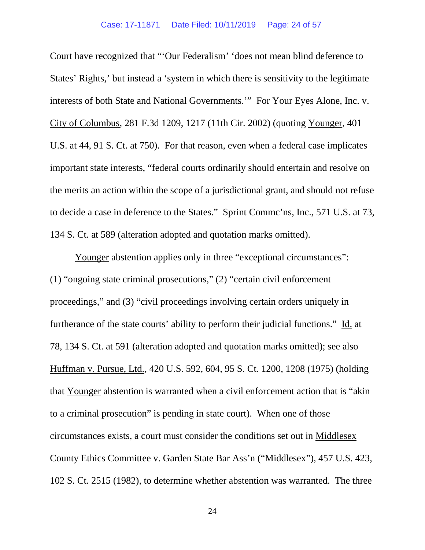Court have recognized that "'Our Federalism' 'does not mean blind deference to States' Rights,' but instead a 'system in which there is sensitivity to the legitimate interests of both State and National Governments.'" For Your Eyes Alone, Inc. v. City of Columbus, 281 F.3d 1209, 1217 (11th Cir. 2002) (quoting Younger, 401 U.S. at 44, 91 S. Ct. at 750). For that reason, even when a federal case implicates important state interests, "federal courts ordinarily should entertain and resolve on the merits an action within the scope of a jurisdictional grant, and should not refuse to decide a case in deference to the States." Sprint Commc'ns, Inc., 571 U.S. at 73, 134 S. Ct. at 589 (alteration adopted and quotation marks omitted).

Younger abstention applies only in three "exceptional circumstances": (1) "ongoing state criminal prosecutions," (2) "certain civil enforcement proceedings," and (3) "civil proceedings involving certain orders uniquely in furtherance of the state courts' ability to perform their judicial functions." Id. at 78, 134 S. Ct. at 591 (alteration adopted and quotation marks omitted); see also Huffman v. Pursue, Ltd., 420 U.S. 592, 604, 95 S. Ct. 1200, 1208 (1975) (holding that Younger abstention is warranted when a civil enforcement action that is "akin to a criminal prosecution" is pending in state court). When one of those circumstances exists, a court must consider the conditions set out in Middlesex County Ethics Committee v. Garden State Bar Ass'n ("Middlesex"), 457 U.S. 423, 102 S. Ct. 2515 (1982), to determine whether abstention was warranted. The three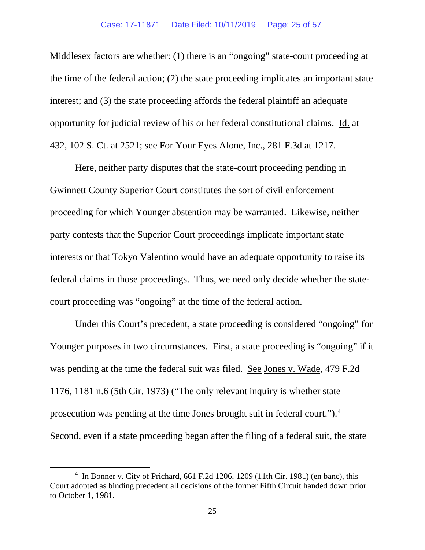Middlesex factors are whether: (1) there is an "ongoing" state-court proceeding at the time of the federal action; (2) the state proceeding implicates an important state interest; and (3) the state proceeding affords the federal plaintiff an adequate opportunity for judicial review of his or her federal constitutional claims. Id. at 432, 102 S. Ct. at 2521; see For Your Eyes Alone, Inc., 281 F.3d at 1217.

Here, neither party disputes that the state-court proceeding pending in Gwinnett County Superior Court constitutes the sort of civil enforcement proceeding for which Younger abstention may be warranted. Likewise, neither party contests that the Superior Court proceedings implicate important state interests or that Tokyo Valentino would have an adequate opportunity to raise its federal claims in those proceedings. Thus, we need only decide whether the statecourt proceeding was "ongoing" at the time of the federal action.

Under this Court's precedent, a state proceeding is considered "ongoing" for Younger purposes in two circumstances. First, a state proceeding is "ongoing" if it was pending at the time the federal suit was filed. See Jones v. Wade, 479 F.2d 1176, 1181 n.6 (5th Cir. 1973) ("The only relevant inquiry is whether state prosecution was pending at the time Jones brought suit in federal court.").<sup>[4](#page-24-0)</sup> Second, even if a state proceeding began after the filing of a federal suit, the state

<span id="page-24-0"></span> $4 \text{ In } \underline{\text{Bonner v. City of Prichard, 661 F.2d 1206, 1209 (11th Cir. 1981) (en banc), this}$ Court adopted as binding precedent all decisions of the former Fifth Circuit handed down prior to October 1, 1981.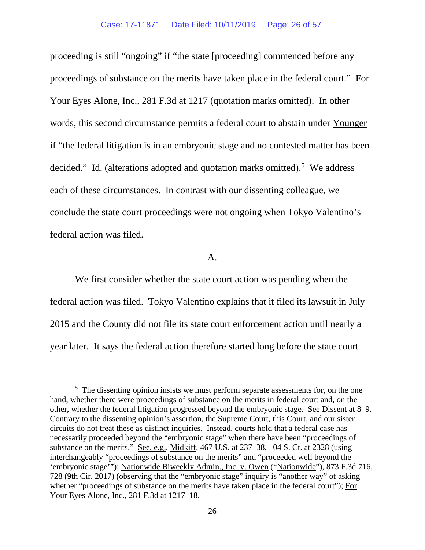proceeding is still "ongoing" if "the state [proceeding] commenced before any proceedings of substance on the merits have taken place in the federal court." For Your Eyes Alone, Inc., 281 F.3d at 1217 (quotation marks omitted). In other words, this second circumstance permits a federal court to abstain under Younger if "the federal litigation is in an embryonic stage and no contested matter has been decided." Id. (alterations adopted and quotation marks omitted).<sup>[5](#page-25-0)</sup> We address each of these circumstances. In contrast with our dissenting colleague, we conclude the state court proceedings were not ongoing when Tokyo Valentino's federal action was filed.

A.

We first consider whether the state court action was pending when the federal action was filed. Tokyo Valentino explains that it filed its lawsuit in July 2015 and the County did not file its state court enforcement action until nearly a year later. It says the federal action therefore started long before the state court

<span id="page-25-0"></span><sup>&</sup>lt;sup>5</sup> The dissenting opinion insists we must perform separate assessments for, on the one hand, whether there were proceedings of substance on the merits in federal court and, on the other, whether the federal litigation progressed beyond the embryonic stage. See Dissent at 8–9. Contrary to the dissenting opinion's assertion, the Supreme Court, this Court, and our sister circuits do not treat these as distinct inquiries. Instead, courts hold that a federal case has necessarily proceeded beyond the "embryonic stage" when there have been "proceedings of substance on the merits." See, e.g., Midkiff, 467 U.S. at 237–38, 104 S. Ct. at 2328 (using interchangeably "proceedings of substance on the merits" and "proceeded well beyond the 'embryonic stage'"); Nationwide Biweekly Admin., Inc. v. Owen ("Nationwide"), 873 F.3d 716, 728 (9th Cir. 2017) (observing that the "embryonic stage" inquiry is "another way" of asking whether "proceedings of substance on the merits have taken place in the federal court"); For Your Eyes Alone, Inc., 281 F.3d at 1217–18.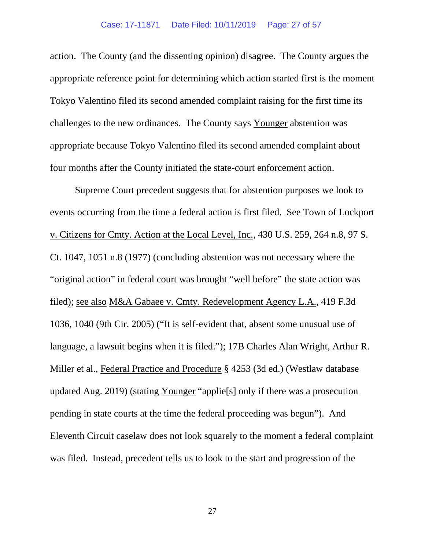#### Case: 17-11871 Date Filed: 10/11/2019 Page: 27 of 57

action. The County (and the dissenting opinion) disagree. The County argues the appropriate reference point for determining which action started first is the moment Tokyo Valentino filed its second amended complaint raising for the first time its challenges to the new ordinances. The County says Younger abstention was appropriate because Tokyo Valentino filed its second amended complaint about four months after the County initiated the state-court enforcement action.

Supreme Court precedent suggests that for abstention purposes we look to events occurring from the time a federal action is first filed. See Town of Lockport v. Citizens for Cmty. Action at the Local Level, Inc., 430 U.S. 259, 264 n.8, 97 S. Ct. 1047, 1051 n.8 (1977) (concluding abstention was not necessary where the "original action" in federal court was brought "well before" the state action was filed); see also M&A Gabaee v. Cmty. Redevelopment Agency L.A., 419 F.3d 1036, 1040 (9th Cir. 2005) ("It is self-evident that, absent some unusual use of language, a lawsuit begins when it is filed."); 17B Charles Alan Wright, Arthur R. Miller et al., Federal Practice and Procedure § 4253 (3d ed.) (Westlaw database updated Aug. 2019) (stating Younger "applie[s] only if there was a prosecution pending in state courts at the time the federal proceeding was begun"). And Eleventh Circuit caselaw does not look squarely to the moment a federal complaint was filed. Instead, precedent tells us to look to the start and progression of the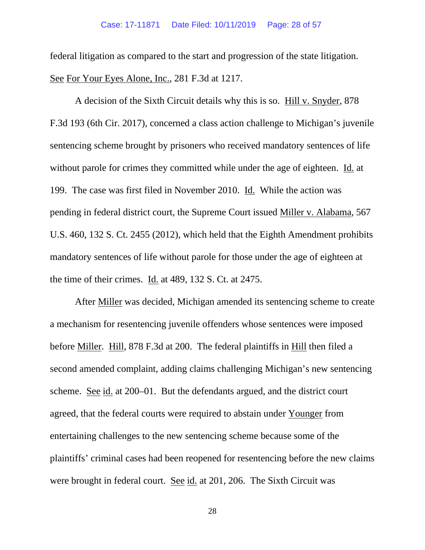federal litigation as compared to the start and progression of the state litigation. See For Your Eyes Alone, Inc., 281 F.3d at 1217.

A decision of the Sixth Circuit details why this is so. Hill v. Snyder, 878 F.3d 193 (6th Cir. 2017), concerned a class action challenge to Michigan's juvenile sentencing scheme brought by prisoners who received mandatory sentences of life without parole for crimes they committed while under the age of eighteen. Id. at 199. The case was first filed in November 2010. Id. While the action was pending in federal district court, the Supreme Court issued Miller v. Alabama, 567 U.S. 460, 132 S. Ct. 2455 (2012), which held that the Eighth Amendment prohibits mandatory sentences of life without parole for those under the age of eighteen at the time of their crimes. Id. at 489, 132 S. Ct. at 2475.

After Miller was decided, Michigan amended its sentencing scheme to create a mechanism for resentencing juvenile offenders whose sentences were imposed before Miller. Hill, 878 F.3d at 200. The federal plaintiffs in Hill then filed a second amended complaint, adding claims challenging Michigan's new sentencing scheme. See id. at 200–01. But the defendants argued, and the district court agreed, that the federal courts were required to abstain under Younger from entertaining challenges to the new sentencing scheme because some of the plaintiffs' criminal cases had been reopened for resentencing before the new claims were brought in federal court. See id. at 201, 206. The Sixth Circuit was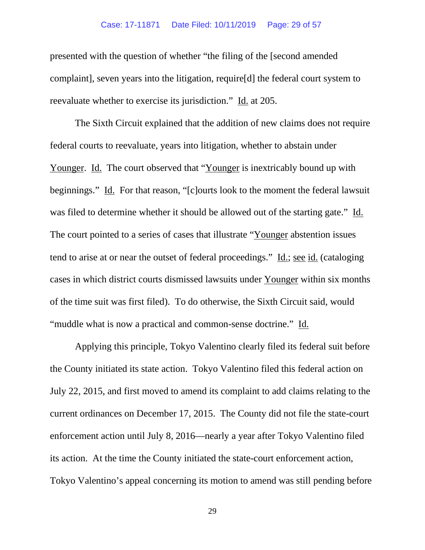#### Case: 17-11871 Date Filed: 10/11/2019 Page: 29 of 57

presented with the question of whether "the filing of the [second amended complaint], seven years into the litigation, require[d] the federal court system to reevaluate whether to exercise its jurisdiction." Id. at 205.

The Sixth Circuit explained that the addition of new claims does not require federal courts to reevaluate, years into litigation, whether to abstain under Younger. Id. The court observed that "Younger is inextricably bound up with beginnings." Id. For that reason, "[c]ourts look to the moment the federal lawsuit was filed to determine whether it should be allowed out of the starting gate." Id. The court pointed to a series of cases that illustrate "Younger abstention issues tend to arise at or near the outset of federal proceedings." Id.; see id. (cataloging cases in which district courts dismissed lawsuits under Younger within six months of the time suit was first filed). To do otherwise, the Sixth Circuit said, would "muddle what is now a practical and common-sense doctrine." Id.

Applying this principle, Tokyo Valentino clearly filed its federal suit before the County initiated its state action. Tokyo Valentino filed this federal action on July 22, 2015, and first moved to amend its complaint to add claims relating to the current ordinances on December 17, 2015. The County did not file the state-court enforcement action until July 8, 2016—nearly a year after Tokyo Valentino filed its action. At the time the County initiated the state-court enforcement action, Tokyo Valentino's appeal concerning its motion to amend was still pending before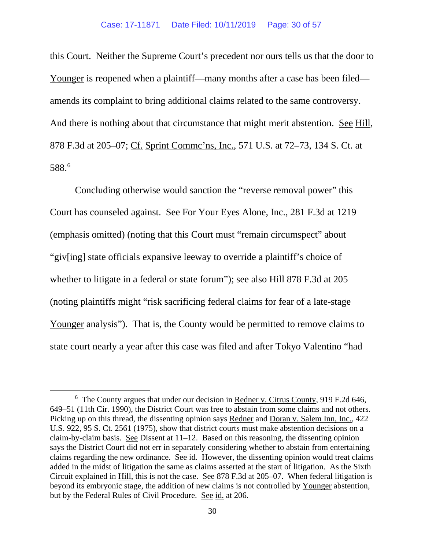this Court. Neither the Supreme Court's precedent nor ours tells us that the door to Younger is reopened when a plaintiff—many months after a case has been filed amends its complaint to bring additional claims related to the same controversy. And there is nothing about that circumstance that might merit abstention. See Hill, 878 F.3d at 205–07; Cf. Sprint Commc'ns, Inc., 571 U.S. at 72–73, 134 S. Ct. at 588.[6](#page-29-0)

Concluding otherwise would sanction the "reverse removal power" this Court has counseled against. See For Your Eyes Alone, Inc., 281 F.3d at 1219 (emphasis omitted) (noting that this Court must "remain circumspect" about "giv[ing] state officials expansive leeway to override a plaintiff's choice of whether to litigate in a federal or state forum"); see also Hill 878 F.3d at 205 (noting plaintiffs might "risk sacrificing federal claims for fear of a late-stage Younger analysis"). That is, the County would be permitted to remove claims to state court nearly a year after this case was filed and after Tokyo Valentino "had

<span id="page-29-0"></span><sup>&</sup>lt;sup>6</sup> The County argues that under our decision in Redner v. Citrus County, 919 F.2d 646, 649–51 (11th Cir. 1990), the District Court was free to abstain from some claims and not others. Picking up on this thread, the dissenting opinion says Redner and Doran v. Salem Inn, Inc., 422 U.S. 922, 95 S. Ct. 2561 (1975), show that district courts must make abstention decisions on a claim-by-claim basis. See Dissent at  $11-12$ . Based on this reasoning, the dissenting opinion says the District Court did not err in separately considering whether to abstain from entertaining claims regarding the new ordinance. See id. However, the dissenting opinion would treat claims added in the midst of litigation the same as claims asserted at the start of litigation. As the Sixth Circuit explained in Hill, this is not the case. See 878 F.3d at 205–07. When federal litigation is beyond its embryonic stage, the addition of new claims is not controlled by Younger abstention, but by the Federal Rules of Civil Procedure. See id. at 206.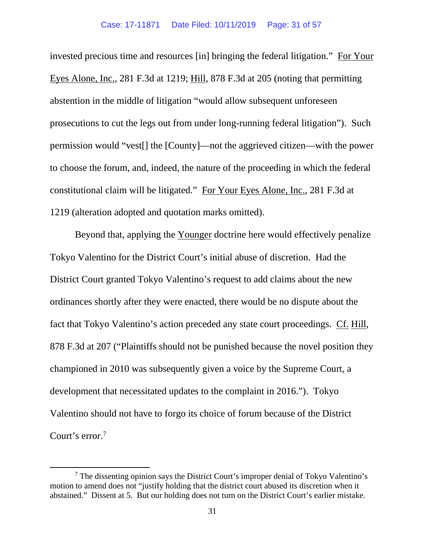invested precious time and resources [in] bringing the federal litigation." For Your Eyes Alone, Inc., 281 F.3d at 1219; Hill, 878 F.3d at 205 (noting that permitting abstention in the middle of litigation "would allow subsequent unforeseen prosecutions to cut the legs out from under long-running federal litigation"). Such permission would "vest[] the [County]—not the aggrieved citizen—with the power to choose the forum, and, indeed, the nature of the proceeding in which the federal constitutional claim will be litigated." For Your Eyes Alone, Inc., 281 F.3d at 1219 (alteration adopted and quotation marks omitted).

Beyond that, applying the Younger doctrine here would effectively penalize Tokyo Valentino for the District Court's initial abuse of discretion. Had the District Court granted Tokyo Valentino's request to add claims about the new ordinances shortly after they were enacted, there would be no dispute about the fact that Tokyo Valentino's action preceded any state court proceedings. Cf. Hill, 878 F.3d at 207 ("Plaintiffs should not be punished because the novel position they championed in 2010 was subsequently given a voice by the Supreme Court, a development that necessitated updates to the complaint in 2016."). Tokyo Valentino should not have to forgo its choice of forum because of the District Court's error.<sup>[7](#page-30-0)</sup>

<span id="page-30-0"></span> $<sup>7</sup>$  The dissenting opinion says the District Court's improper denial of Tokyo Valentino's</sup> motion to amend does not "justify holding that the district court abused its discretion when it abstained." Dissent at 5. But our holding does not turn on the District Court's earlier mistake.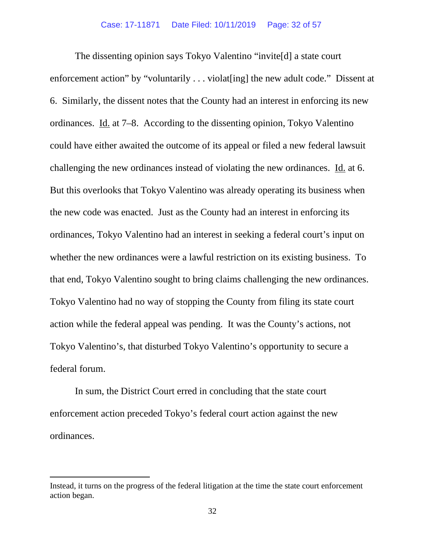The dissenting opinion says Tokyo Valentino "invite[d] a state court enforcement action" by "voluntarily . . . violat [ing] the new adult code." Dissent at 6. Similarly, the dissent notes that the County had an interest in enforcing its new ordinances. Id. at 7–8. According to the dissenting opinion, Tokyo Valentino could have either awaited the outcome of its appeal or filed a new federal lawsuit challenging the new ordinances instead of violating the new ordinances. Id. at 6. But this overlooks that Tokyo Valentino was already operating its business when the new code was enacted. Just as the County had an interest in enforcing its ordinances, Tokyo Valentino had an interest in seeking a federal court's input on whether the new ordinances were a lawful restriction on its existing business. To that end, Tokyo Valentino sought to bring claims challenging the new ordinances. Tokyo Valentino had no way of stopping the County from filing its state court action while the federal appeal was pending. It was the County's actions, not Tokyo Valentino's, that disturbed Tokyo Valentino's opportunity to secure a federal forum.

In sum, the District Court erred in concluding that the state court enforcement action preceded Tokyo's federal court action against the new ordinances.

Instead, it turns on the progress of the federal litigation at the time the state court enforcement action began.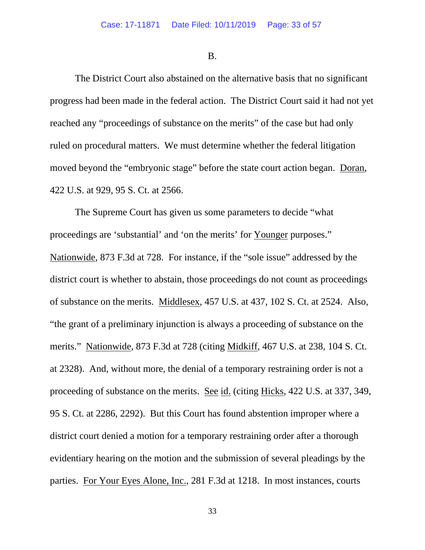B.

The District Court also abstained on the alternative basis that no significant progress had been made in the federal action. The District Court said it had not yet reached any "proceedings of substance on the merits" of the case but had only ruled on procedural matters. We must determine whether the federal litigation moved beyond the "embryonic stage" before the state court action began. Doran, 422 U.S. at 929, 95 S. Ct. at 2566.

The Supreme Court has given us some parameters to decide "what proceedings are 'substantial' and 'on the merits' for Younger purposes." Nationwide, 873 F.3d at 728. For instance, if the "sole issue" addressed by the district court is whether to abstain, those proceedings do not count as proceedings of substance on the merits. Middlesex, 457 U.S. at 437, 102 S. Ct. at 2524. Also, "the grant of a preliminary injunction is always a proceeding of substance on the merits." Nationwide, 873 F.3d at 728 (citing Midkiff, 467 U.S. at 238, 104 S. Ct. at 2328). And, without more, the denial of a temporary restraining order is not a proceeding of substance on the merits. See id. (citing Hicks, 422 U.S. at 337, 349, 95 S. Ct. at 2286, 2292). But this Court has found abstention improper where a district court denied a motion for a temporary restraining order after a thorough evidentiary hearing on the motion and the submission of several pleadings by the parties. For Your Eyes Alone, Inc., 281 F.3d at 1218. In most instances, courts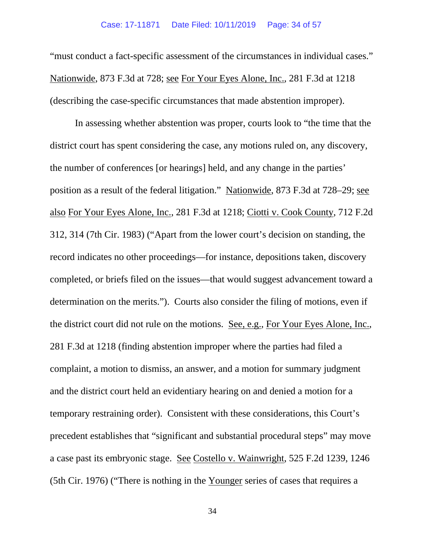"must conduct a fact-specific assessment of the circumstances in individual cases." Nationwide, 873 F.3d at 728; see For Your Eyes Alone, Inc., 281 F.3d at 1218 (describing the case-specific circumstances that made abstention improper).

In assessing whether abstention was proper, courts look to "the time that the district court has spent considering the case, any motions ruled on, any discovery, the number of conferences [or hearings] held, and any change in the parties' position as a result of the federal litigation." Nationwide, 873 F.3d at 728–29; see also For Your Eyes Alone, Inc., 281 F.3d at 1218; Ciotti v. Cook County, 712 F.2d 312, 314 (7th Cir. 1983) ("Apart from the lower court's decision on standing, the record indicates no other proceedings—for instance, depositions taken, discovery completed, or briefs filed on the issues—that would suggest advancement toward a determination on the merits."). Courts also consider the filing of motions, even if the district court did not rule on the motions. See, e.g., For Your Eyes Alone, Inc., 281 F.3d at 1218 (finding abstention improper where the parties had filed a complaint, a motion to dismiss, an answer, and a motion for summary judgment and the district court held an evidentiary hearing on and denied a motion for a temporary restraining order). Consistent with these considerations, this Court's precedent establishes that "significant and substantial procedural steps" may move a case past its embryonic stage. See Costello v. Wainwright, 525 F.2d 1239, 1246 (5th Cir. 1976) ("There is nothing in the Younger series of cases that requires a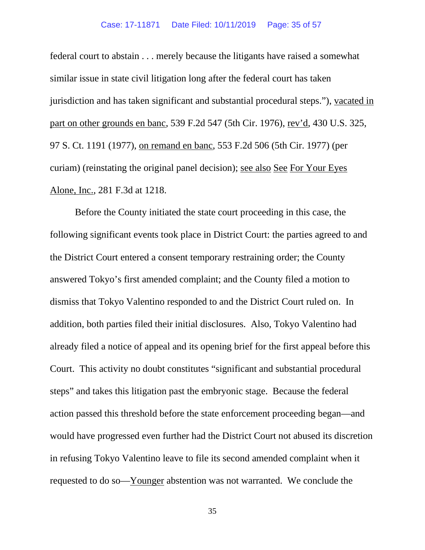#### Case: 17-11871 Date Filed: 10/11/2019 Page: 35 of 57

federal court to abstain . . . merely because the litigants have raised a somewhat similar issue in state civil litigation long after the federal court has taken jurisdiction and has taken significant and substantial procedural steps."), vacated in part on other grounds en banc, 539 F.2d 547 (5th Cir. 1976), rev'd, 430 U.S. 325, 97 S. Ct. 1191 (1977), on remand en banc, 553 F.2d 506 (5th Cir. 1977) (per curiam) (reinstating the original panel decision); see also See For Your Eyes Alone, Inc., 281 F.3d at 1218.

Before the County initiated the state court proceeding in this case, the following significant events took place in District Court: the parties agreed to and the District Court entered a consent temporary restraining order; the County answered Tokyo's first amended complaint; and the County filed a motion to dismiss that Tokyo Valentino responded to and the District Court ruled on. In addition, both parties filed their initial disclosures. Also, Tokyo Valentino had already filed a notice of appeal and its opening brief for the first appeal before this Court. This activity no doubt constitutes "significant and substantial procedural steps" and takes this litigation past the embryonic stage.Because the federal action passed this threshold before the state enforcement proceeding began—and would have progressed even further had the District Court not abused its discretion in refusing Tokyo Valentino leave to file its second amended complaint when it requested to do so—Younger abstention was not warranted. We conclude the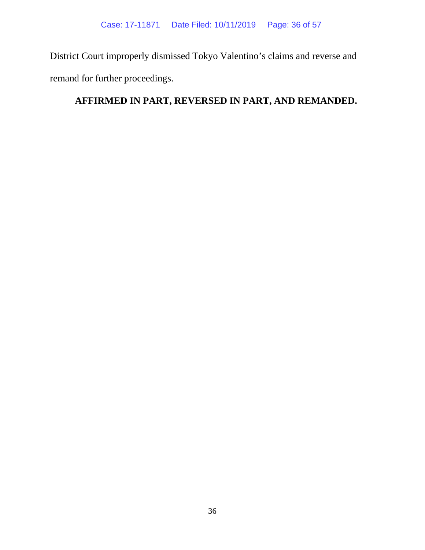District Court improperly dismissed Tokyo Valentino's claims and reverse and remand for further proceedings.

# **AFFIRMED IN PART, REVERSED IN PART, AND REMANDED.**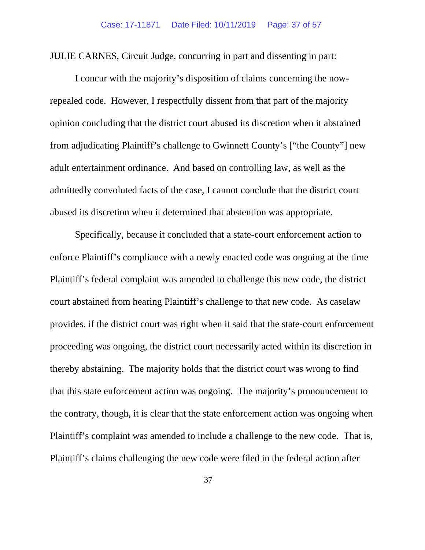JULIE CARNES, Circuit Judge, concurring in part and dissenting in part:

I concur with the majority's disposition of claims concerning the nowrepealed code. However, I respectfully dissent from that part of the majority opinion concluding that the district court abused its discretion when it abstained from adjudicating Plaintiff's challenge to Gwinnett County's ["the County"] new adult entertainment ordinance. And based on controlling law, as well as the admittedly convoluted facts of the case, I cannot conclude that the district court abused its discretion when it determined that abstention was appropriate.

Specifically, because it concluded that a state-court enforcement action to enforce Plaintiff's compliance with a newly enacted code was ongoing at the time Plaintiff's federal complaint was amended to challenge this new code, the district court abstained from hearing Plaintiff's challenge to that new code. As caselaw provides, if the district court was right when it said that the state-court enforcement proceeding was ongoing, the district court necessarily acted within its discretion in thereby abstaining. The majority holds that the district court was wrong to find that this state enforcement action was ongoing. The majority's pronouncement to the contrary, though, it is clear that the state enforcement action was ongoing when Plaintiff's complaint was amended to include a challenge to the new code. That is, Plaintiff's claims challenging the new code were filed in the federal action after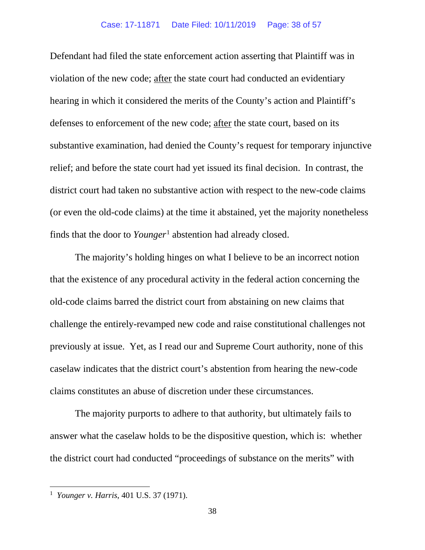Defendant had filed the state enforcement action asserting that Plaintiff was in violation of the new code; after the state court had conducted an evidentiary hearing in which it considered the merits of the County's action and Plaintiff's defenses to enforcement of the new code; after the state court, based on its substantive examination, had denied the County's request for temporary injunctive relief; and before the state court had yet issued its final decision. In contrast, the district court had taken no substantive action with respect to the new-code claims (or even the old-code claims) at the time it abstained, yet the majority nonetheless finds that the door to *Younger*[1](#page-37-0) abstention had already closed.

The majority's holding hinges on what I believe to be an incorrect notion that the existence of any procedural activity in the federal action concerning the old-code claims barred the district court from abstaining on new claims that challenge the entirely-revamped new code and raise constitutional challenges not previously at issue. Yet, as I read our and Supreme Court authority, none of this caselaw indicates that the district court's abstention from hearing the new-code claims constitutes an abuse of discretion under these circumstances.

The majority purports to adhere to that authority, but ultimately fails to answer what the caselaw holds to be the dispositive question, which is: whether the district court had conducted "proceedings of substance on the merits" with

<span id="page-37-0"></span><sup>1</sup> *Younger v. Harris*, 401 U.S. 37 (1971).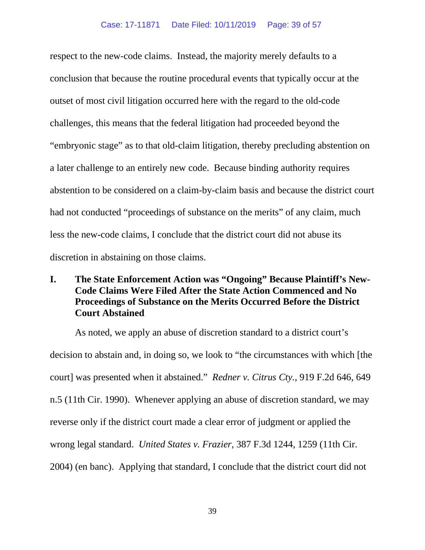respect to the new-code claims. Instead, the majority merely defaults to a conclusion that because the routine procedural events that typically occur at the outset of most civil litigation occurred here with the regard to the old-code challenges, this means that the federal litigation had proceeded beyond the "embryonic stage" as to that old-claim litigation, thereby precluding abstention on a later challenge to an entirely new code. Because binding authority requires abstention to be considered on a claim-by-claim basis and because the district court had not conducted "proceedings of substance on the merits" of any claim, much less the new-code claims, I conclude that the district court did not abuse its discretion in abstaining on those claims.

# **I. The State Enforcement Action was "Ongoing" Because Plaintiff's New-Code Claims Were Filed After the State Action Commenced and No Proceedings of Substance on the Merits Occurred Before the District Court Abstained**

As noted, we apply an abuse of discretion standard to a district court's decision to abstain and, in doing so, we look to "the circumstances with which [the court] was presented when it abstained." *Redner v. Citrus Cty.*, 919 F.2d 646, 649 n.5 (11th Cir. 1990). Whenever applying an abuse of discretion standard, we may reverse only if the district court made a clear error of judgment or applied the wrong legal standard. *United States v. Frazier*, 387 F.3d 1244, 1259 (11th Cir. 2004) (en banc). Applying that standard, I conclude that the district court did not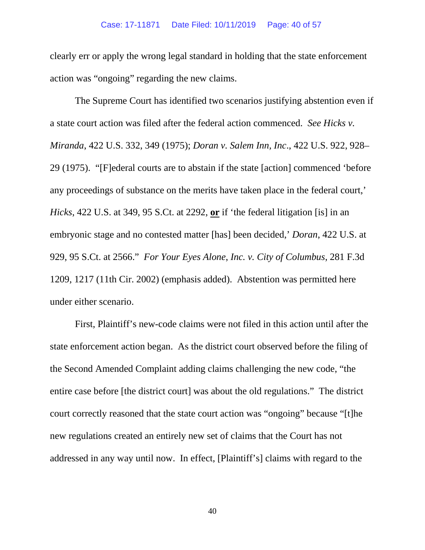clearly err or apply the wrong legal standard in holding that the state enforcement action was "ongoing" regarding the new claims.

The Supreme Court has identified two scenarios justifying abstention even if a state court action was filed after the federal action commenced. *See Hicks v. Miranda*, 422 U.S. 332, 349 (1975); *Doran v. Salem Inn, Inc*., 422 U.S. 922, 928– 29 (1975). "[F]ederal courts are to abstain if the state [action] commenced 'before any proceedings of substance on the merits have taken place in the federal court,' *Hicks*, 422 U.S. at 349, 95 S.Ct. at 2292, **or** if 'the federal litigation [is] in an embryonic stage and no contested matter [has] been decided,' *Doran*, 422 U.S. at 929, 95 S.Ct. at 2566." *For Your Eyes Alone*, *Inc. v. City of Columbus*, 281 F.3d 1209, 1217 (11th Cir. 2002) (emphasis added). Abstention was permitted here under either scenario.

First, Plaintiff's new-code claims were not filed in this action until after the state enforcement action began. As the district court observed before the filing of the Second Amended Complaint adding claims challenging the new code, "the entire case before [the district court] was about the old regulations." The district court correctly reasoned that the state court action was "ongoing" because "[t]he new regulations created an entirely new set of claims that the Court has not addressed in any way until now. In effect, [Plaintiff's] claims with regard to the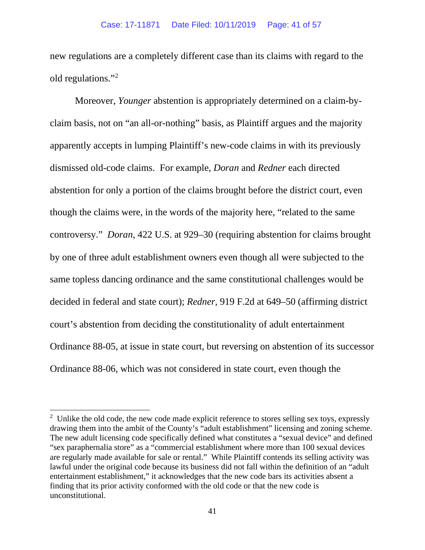new regulations are a completely different case than its claims with regard to the old regulations."[2](#page-40-0)

Moreover, *Younger* abstention is appropriately determined on a claim-byclaim basis, not on "an all-or-nothing" basis, as Plaintiff argues and the majority apparently accepts in lumping Plaintiff's new-code claims in with its previously dismissed old-code claims. For example, *Doran* and *Redner* each directed abstention for only a portion of the claims brought before the district court, even though the claims were, in the words of the majority here, "related to the same controversy." *Doran*, 422 U.S. at 929–30 (requiring abstention for claims brought by one of three adult establishment owners even though all were subjected to the same topless dancing ordinance and the same constitutional challenges would be decided in federal and state court); *Redner*, 919 F.2d at 649–50 (affirming district court's abstention from deciding the constitutionality of adult entertainment Ordinance 88-05, at issue in state court, but reversing on abstention of its successor Ordinance 88-06, which was not considered in state court, even though the

<span id="page-40-0"></span><sup>&</sup>lt;sup>2</sup> Unlike the old code, the new code made explicit reference to stores selling sex toys, expressly drawing them into the ambit of the County's "adult establishment" licensing and zoning scheme. The new adult licensing code specifically defined what constitutes a "sexual device" and defined "sex paraphernalia store" as a "commercial establishment where more than 100 sexual devices are regularly made available for sale or rental." While Plaintiff contends its selling activity was lawful under the original code because its business did not fall within the definition of an "adult entertainment establishment," it acknowledges that the new code bars its activities absent a finding that its prior activity conformed with the old code or that the new code is unconstitutional.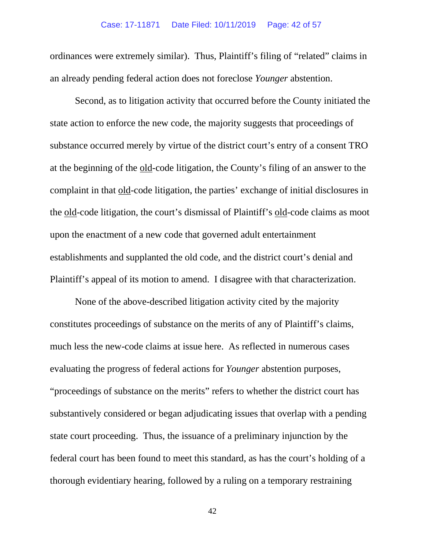ordinances were extremely similar). Thus, Plaintiff's filing of "related" claims in an already pending federal action does not foreclose *Younger* abstention.

Second, as to litigation activity that occurred before the County initiated the state action to enforce the new code, the majority suggests that proceedings of substance occurred merely by virtue of the district court's entry of a consent TRO at the beginning of the old-code litigation, the County's filing of an answer to the complaint in that old-code litigation, the parties' exchange of initial disclosures in the old-code litigation, the court's dismissal of Plaintiff's old-code claims as moot upon the enactment of a new code that governed adult entertainment establishments and supplanted the old code, and the district court's denial and Plaintiff's appeal of its motion to amend. I disagree with that characterization.

None of the above-described litigation activity cited by the majority constitutes proceedings of substance on the merits of any of Plaintiff's claims, much less the new-code claims at issue here. As reflected in numerous cases evaluating the progress of federal actions for *Younger* abstention purposes, "proceedings of substance on the merits" refers to whether the district court has substantively considered or began adjudicating issues that overlap with a pending state court proceeding. Thus, the issuance of a preliminary injunction by the federal court has been found to meet this standard, as has the court's holding of a thorough evidentiary hearing, followed by a ruling on a temporary restraining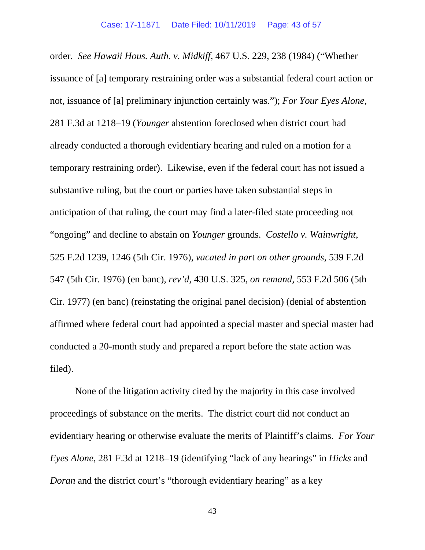order. *See Hawaii Hous. Auth. v. Midkiff*, 467 U.S. 229, 238 (1984) ("Whether issuance of [a] temporary restraining order was a substantial federal court action or not, issuance of [a] preliminary injunction certainly was."); *For Your Eyes Alone*, 281 F.3d at 1218–19 (*Younger* abstention foreclosed when district court had already conducted a thorough evidentiary hearing and ruled on a motion for a temporary restraining order). Likewise, even if the federal court has not issued a substantive ruling, but the court or parties have taken substantial steps in anticipation of that ruling, the court may find a later-filed state proceeding not "ongoing" and decline to abstain on *Younger* grounds. *Costello v. Wainwright*, 525 F.2d 1239, 1246 (5th Cir. 1976), *vacated in par*t *on other grounds*, 539 F.2d 547 (5th Cir. 1976) (en banc), *rev'd*, 430 U.S. 325, *on remand*, 553 F.2d 506 (5th Cir. 1977) (en banc) (reinstating the original panel decision) (denial of abstention affirmed where federal court had appointed a special master and special master had conducted a 20-month study and prepared a report before the state action was filed).

None of the litigation activity cited by the majority in this case involved proceedings of substance on the merits. The district court did not conduct an evidentiary hearing or otherwise evaluate the merits of Plaintiff's claims. *For Your Eyes Alone*, 281 F.3d at 1218–19 (identifying "lack of any hearings" in *Hicks* and *Doran* and the district court's "thorough evidentiary hearing" as a key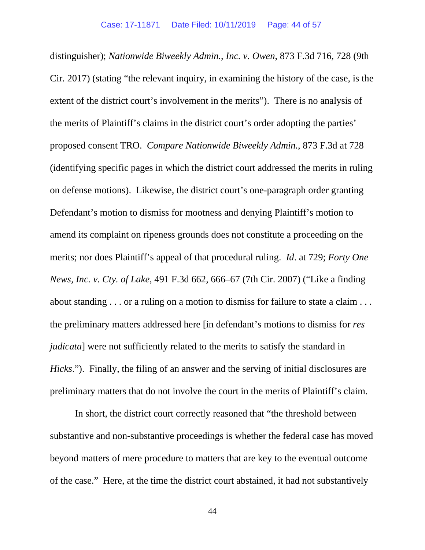distinguisher); *Nationwide Biweekly Admin., Inc. v. Owen*, 873 F.3d 716, 728 (9th Cir. 2017) (stating "the relevant inquiry, in examining the history of the case, is the extent of the district court's involvement in the merits"). There is no analysis of the merits of Plaintiff's claims in the district court's order adopting the parties' proposed consent TRO. *Compare Nationwide Biweekly Admin.*, 873 F.3d at 728 (identifying specific pages in which the district court addressed the merits in ruling on defense motions). Likewise, the district court's one-paragraph order granting Defendant's motion to dismiss for mootness and denying Plaintiff's motion to amend its complaint on ripeness grounds does not constitute a proceeding on the merits; nor does Plaintiff's appeal of that procedural ruling. *Id*. at 729; *Forty One News, Inc. v. Cty. of Lake*, 491 F.3d 662, 666–67 (7th Cir. 2007) ("Like a finding about standing . . . or a ruling on a motion to dismiss for failure to state a claim . . . the preliminary matters addressed here [in defendant's motions to dismiss for *res judicata*] were not sufficiently related to the merits to satisfy the standard in *Hicks*."). Finally, the filing of an answer and the serving of initial disclosures are preliminary matters that do not involve the court in the merits of Plaintiff's claim.

In short, the district court correctly reasoned that "the threshold between substantive and non-substantive proceedings is whether the federal case has moved beyond matters of mere procedure to matters that are key to the eventual outcome of the case." Here, at the time the district court abstained, it had not substantively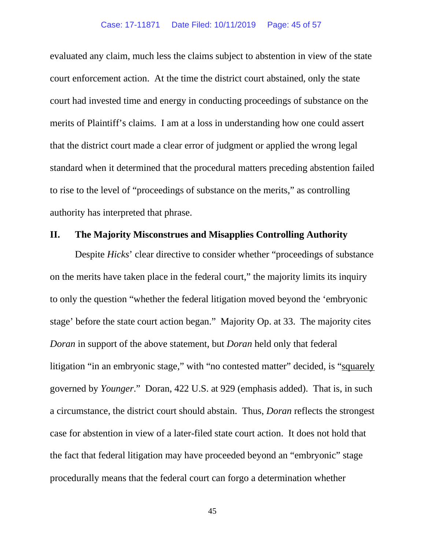evaluated any claim, much less the claims subject to abstention in view of the state court enforcement action. At the time the district court abstained, only the state court had invested time and energy in conducting proceedings of substance on the merits of Plaintiff's claims. I am at a loss in understanding how one could assert that the district court made a clear error of judgment or applied the wrong legal standard when it determined that the procedural matters preceding abstention failed to rise to the level of "proceedings of substance on the merits," as controlling authority has interpreted that phrase.

## **II. The Majority Misconstrues and Misapplies Controlling Authority**

Despite *Hicks*' clear directive to consider whether "proceedings of substance on the merits have taken place in the federal court," the majority limits its inquiry to only the question "whether the federal litigation moved beyond the 'embryonic stage' before the state court action began." Majority Op. at 33. The majority cites *Doran* in support of the above statement, but *Doran* held only that federal litigation "in an embryonic stage," with "no contested matter" decided, is "squarely governed by *Younger*." Doran, 422 U.S. at 929 (emphasis added). That is, in such a circumstance, the district court should abstain. Thus, *Doran* reflects the strongest case for abstention in view of a later-filed state court action. It does not hold that the fact that federal litigation may have proceeded beyond an "embryonic" stage procedurally means that the federal court can forgo a determination whether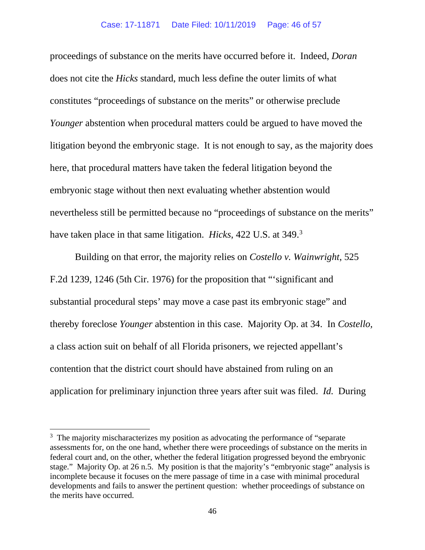proceedings of substance on the merits have occurred before it. Indeed, *Doran*  does not cite the *Hicks* standard, much less define the outer limits of what constitutes "proceedings of substance on the merits" or otherwise preclude *Younger* abstention when procedural matters could be argued to have moved the litigation beyond the embryonic stage. It is not enough to say, as the majority does here, that procedural matters have taken the federal litigation beyond the embryonic stage without then next evaluating whether abstention would nevertheless still be permitted because no "proceedings of substance on the merits" have taken place in that same litigation. *Hicks*, 422 U.S. at 349[.3](#page-45-0)

Building on that error, the majority relies on *Costello v. Wainwright*, 525 F.2d 1239, 1246 (5th Cir. 1976) for the proposition that "'significant and substantial procedural steps' may move a case past its embryonic stage" and thereby foreclose *Younger* abstention in this case. Majority Op. at 34. In *Costello,* a class action suit on behalf of all Florida prisoners, we rejected appellant's contention that the district court should have abstained from ruling on an application for preliminary injunction three years after suit was filed. *Id.* During

<span id="page-45-0"></span><sup>&</sup>lt;sup>3</sup> The majority mischaracterizes my position as advocating the performance of "separate assessments for, on the one hand, whether there were proceedings of substance on the merits in federal court and, on the other, whether the federal litigation progressed beyond the embryonic stage." Majority Op. at 26 n.5. My position is that the majority's "embryonic stage" analysis is incomplete because it focuses on the mere passage of time in a case with minimal procedural developments and fails to answer the pertinent question: whether proceedings of substance on the merits have occurred.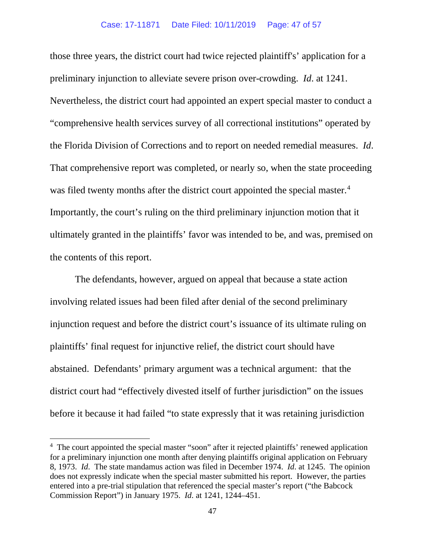those three years, the district court had twice rejected plaintiff's' application for a preliminary injunction to alleviate severe prison over-crowding. *Id*. at 1241. Nevertheless, the district court had appointed an expert special master to conduct a "comprehensive health services survey of all correctional institutions" operated by the Florida Division of Corrections and to report on needed remedial measures. *Id*. That comprehensive report was completed, or nearly so, when the state proceeding was filed twenty months after the district court appointed the special master.<sup>[4](#page-46-0)</sup> Importantly, the court's ruling on the third preliminary injunction motion that it ultimately granted in the plaintiffs' favor was intended to be, and was, premised on the contents of this report.

The defendants, however, argued on appeal that because a state action involving related issues had been filed after denial of the second preliminary injunction request and before the district court's issuance of its ultimate ruling on plaintiffs' final request for injunctive relief, the district court should have abstained. Defendants' primary argument was a technical argument: that the district court had "effectively divested itself of further jurisdiction" on the issues before it because it had failed "to state expressly that it was retaining jurisdiction

<span id="page-46-0"></span><sup>&</sup>lt;sup>4</sup> The court appointed the special master "soon" after it rejected plaintiffs' renewed application for a preliminary injunction one month after denying plaintiffs original application on February 8, 1973. *Id*. The state mandamus action was filed in December 1974. *Id*. at 1245. The opinion does not expressly indicate when the special master submitted his report. However, the parties entered into a pre-trial stipulation that referenced the special master's report ("the Babcock Commission Report") in January 1975. *Id*. at 1241, 1244–451.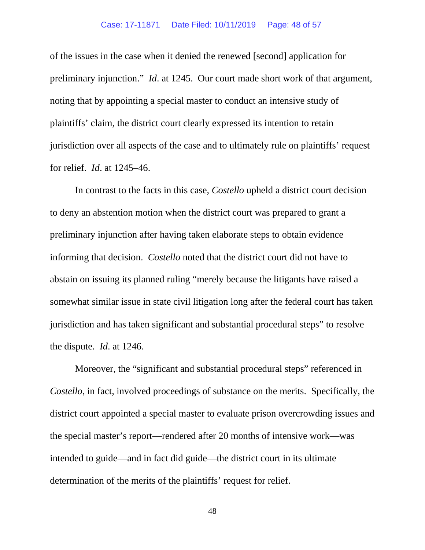of the issues in the case when it denied the renewed [second] application for preliminary injunction." *Id*. at 1245. Our court made short work of that argument, noting that by appointing a special master to conduct an intensive study of plaintiffs' claim, the district court clearly expressed its intention to retain jurisdiction over all aspects of the case and to ultimately rule on plaintiffs' request for relief. *Id*. at 1245–46.

In contrast to the facts in this case, *Costello* upheld a district court decision to deny an abstention motion when the district court was prepared to grant a preliminary injunction after having taken elaborate steps to obtain evidence informing that decision. *Costello* noted that the district court did not have to abstain on issuing its planned ruling "merely because the litigants have raised a somewhat similar issue in state civil litigation long after the federal court has taken jurisdiction and has taken significant and substantial procedural steps" to resolve the dispute. *Id*. at 1246.

Moreover, the "significant and substantial procedural steps" referenced in *Costello*, in fact, involved proceedings of substance on the merits. Specifically, the district court appointed a special master to evaluate prison overcrowding issues and the special master's report—rendered after 20 months of intensive work—was intended to guide—and in fact did guide—the district court in its ultimate determination of the merits of the plaintiffs' request for relief.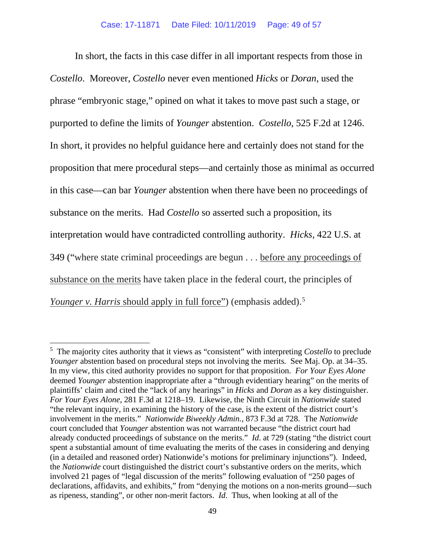In short, the facts in this case differ in all important respects from those in *Costello*. Moreover, *Costello* never even mentioned *Hicks* or *Doran*, used the phrase "embryonic stage," opined on what it takes to move past such a stage, or purported to define the limits of *Younger* abstention. *Costello*, 525 F.2d at 1246. In short, it provides no helpful guidance here and certainly does not stand for the proposition that mere procedural steps—and certainly those as minimal as occurred in this case—can bar *Younger* abstention when there have been no proceedings of substance on the merits. Had *Costello* so asserted such a proposition, its interpretation would have contradicted controlling authority. *Hicks*, 422 U.S. at 349 ("where state criminal proceedings are begun . . . before any proceedings of substance on the merits have taken place in the federal court, the principles of *Younger v. Harris* should apply in full force") (emphasis added).<sup>[5](#page-48-0)</sup>

<span id="page-48-0"></span><sup>5</sup> The majority cites authority that it views as "consistent" with interpreting *Costello* to preclude *Younger* abstention based on procedural steps not involving the merits*.* See Maj. Op. at 34–35. In my view, this cited authority provides no support for that proposition. *For Your Eyes Alone* deemed *Younger* abstention inappropriate after a "through evidentiary hearing" on the merits of plaintiffs' claim and cited the "lack of any hearings" in *Hicks* and *Doran* as a key distinguisher. *For Your Eyes Alone*, 281 F.3d at 1218–19. Likewise, the Ninth Circuit in *Nationwide* stated "the relevant inquiry, in examining the history of the case, is the extent of the district court's involvement in the merits." *Nationwide Biweekly Admin.*, 873 F.3d at 728. The *Nationwide* court concluded that *Younger* abstention was not warranted because "the district court had already conducted proceedings of substance on the merits." *Id*. at 729 (stating "the district court spent a substantial amount of time evaluating the merits of the cases in considering and denying (in a detailed and reasoned order) Nationwide's motions for preliminary injunctions"). Indeed, the *Nationwide* court distinguished the district court's substantive orders on the merits, which involved 21 pages of "legal discussion of the merits" following evaluation of "250 pages of declarations, affidavits, and exhibits," from "denying the motions on a non-merits ground—such as ripeness, standing", or other non-merit factors. *Id*. Thus, when looking at all of the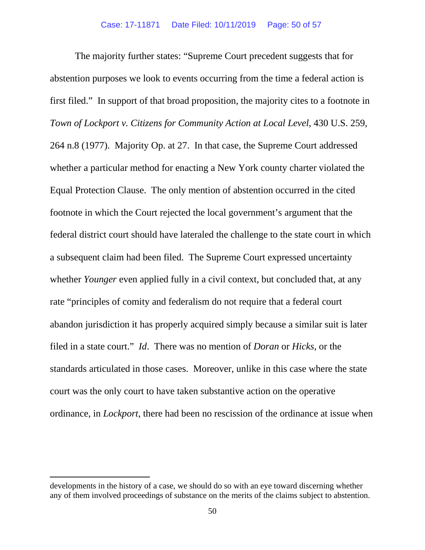The majority further states: "Supreme Court precedent suggests that for abstention purposes we look to events occurring from the time a federal action is first filed." In support of that broad proposition, the majority cites to a footnote in *Town of Lockport v. Citizens for Community Action at Local Level*, 430 U.S. 259, 264 n.8 (1977). Majority Op. at 27. In that case, the Supreme Court addressed whether a particular method for enacting a New York county charter violated the Equal Protection Clause. The only mention of abstention occurred in the cited footnote in which the Court rejected the local government's argument that the federal district court should have lateraled the challenge to the state court in which a subsequent claim had been filed. The Supreme Court expressed uncertainty whether *Younger* even applied fully in a civil context, but concluded that, at any rate "principles of comity and federalism do not require that a federal court abandon jurisdiction it has properly acquired simply because a similar suit is later filed in a state court." *Id*. There was no mention of *Doran* or *Hicks*, or the standards articulated in those cases. Moreover, unlike in this case where the state court was the only court to have taken substantive action on the operative ordinance, in *Lockport*, there had been no rescission of the ordinance at issue when

developments in the history of a case, we should do so with an eye toward discerning whether any of them involved proceedings of substance on the merits of the claims subject to abstention.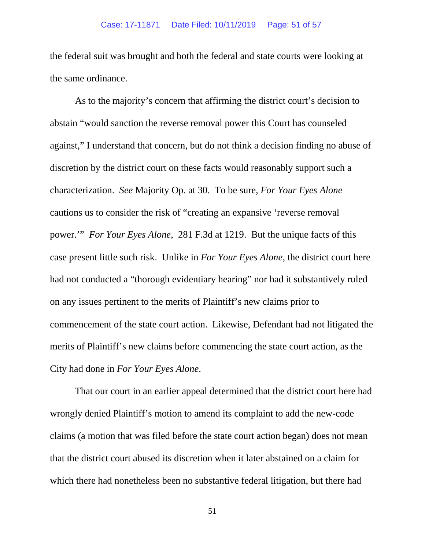the federal suit was brought and both the federal and state courts were looking at the same ordinance.

As to the majority's concern that affirming the district court's decision to abstain "would sanction the reverse removal power this Court has counseled against," I understand that concern, but do not think a decision finding no abuse of discretion by the district court on these facts would reasonably support such a characterization. *See* Majority Op. at 30. To be sure, *For Your Eyes Alone* cautions us to consider the risk of "creating an expansive 'reverse removal power.'" *For Your Eyes Alone*, 281 F.3d at 1219. But the unique facts of this case present little such risk. Unlike in *For Your Eyes Alone*, the district court here had not conducted a "thorough evidentiary hearing" nor had it substantively ruled on any issues pertinent to the merits of Plaintiff's new claims prior to commencement of the state court action. Likewise, Defendant had not litigated the merits of Plaintiff's new claims before commencing the state court action, as the City had done in *For Your Eyes Alone*.

That our court in an earlier appeal determined that the district court here had wrongly denied Plaintiff's motion to amend its complaint to add the new-code claims (a motion that was filed before the state court action began) does not mean that the district court abused its discretion when it later abstained on a claim for which there had nonetheless been no substantive federal litigation, but there had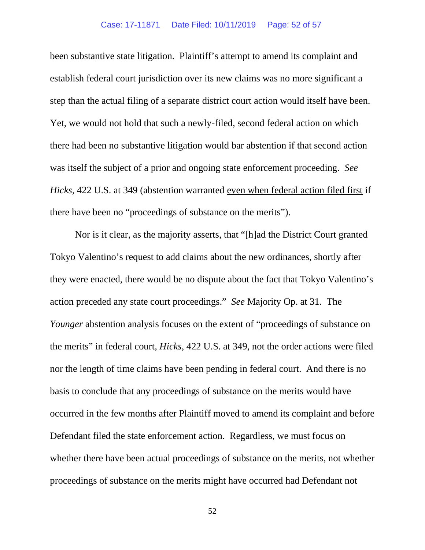been substantive state litigation. Plaintiff's attempt to amend its complaint and establish federal court jurisdiction over its new claims was no more significant a step than the actual filing of a separate district court action would itself have been. Yet, we would not hold that such a newly-filed, second federal action on which there had been no substantive litigation would bar abstention if that second action was itself the subject of a prior and ongoing state enforcement proceeding. *See Hicks*, 422 U.S. at 349 (abstention warranted even when federal action filed first if there have been no "proceedings of substance on the merits").

Nor is it clear, as the majority asserts, that "[h]ad the District Court granted Tokyo Valentino's request to add claims about the new ordinances, shortly after they were enacted, there would be no dispute about the fact that Tokyo Valentino's action preceded any state court proceedings." *See* Majority Op. at 31. The *Younger* abstention analysis focuses on the extent of "proceedings of substance on the merits" in federal court, *Hicks*, 422 U.S. at 349, not the order actions were filed nor the length of time claims have been pending in federal court. And there is no basis to conclude that any proceedings of substance on the merits would have occurred in the few months after Plaintiff moved to amend its complaint and before Defendant filed the state enforcement action. Regardless, we must focus on whether there have been actual proceedings of substance on the merits, not whether proceedings of substance on the merits might have occurred had Defendant not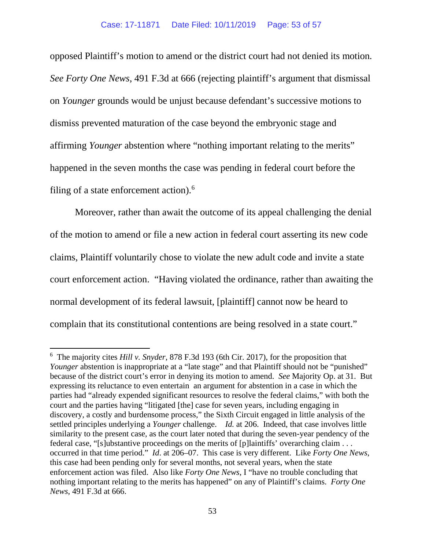opposed Plaintiff's motion to amend or the district court had not denied its motion*. See Forty One News*, 491 F.3d at 666 (rejecting plaintiff's argument that dismissal on *Younger* grounds would be unjust because defendant's successive motions to dismiss prevented maturation of the case beyond the embryonic stage and affirming *Younger* abstention where "nothing important relating to the merits" happened in the seven months the case was pending in federal court before the filing of a state enforcement action). $<sup>6</sup>$  $<sup>6</sup>$  $<sup>6</sup>$ </sup>

Moreover, rather than await the outcome of its appeal challenging the denial of the motion to amend or file a new action in federal court asserting its new code claims, Plaintiff voluntarily chose to violate the new adult code and invite a state court enforcement action. "Having violated the ordinance, rather than awaiting the normal development of its federal lawsuit, [plaintiff] cannot now be heard to complain that its constitutional contentions are being resolved in a state court."

<span id="page-52-0"></span><sup>6</sup> The majority cites *Hill v. Snyder*, 878 F.3d 193 (6th Cir. 2017), for the proposition that *Younger* abstention is inappropriate at a "late stage" and that Plaintiff should not be "punished" because of the district court's error in denying its motion to amend. *See* Majority Op. at 31. But expressing its reluctance to even entertain an argument for abstention in a case in which the parties had "already expended significant resources to resolve the federal claims," with both the court and the parties having "litigated [the] case for seven years, including engaging in discovery, a costly and burdensome process," the Sixth Circuit engaged in little analysis of the settled principles underlying a *Younger* challenge. *Id.* at 206. Indeed, that case involves little similarity to the present case, as the court later noted that during the seven-year pendency of the federal case, "[s]ubstantive proceedings on the merits of [p]laintiffs' overarching claim . . . occurred in that time period." *Id*. at 206–07. This case is very different. Like *Forty One News*, this case had been pending only for several months, not several years, when the state enforcement action was filed. Also like *Forty One News*, I "have no trouble concluding that nothing important relating to the merits has happened" on any of Plaintiff's claims. *Forty One News*, 491 F.3d at 666.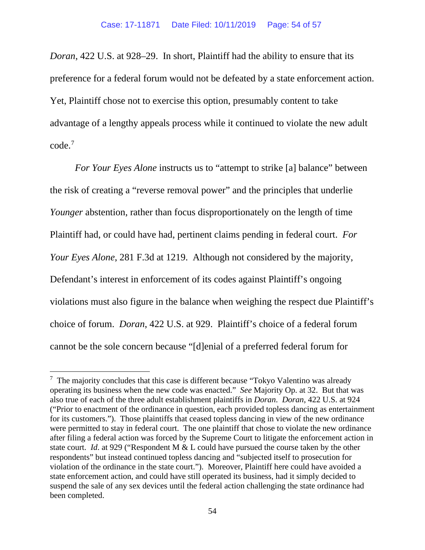*Doran*, 422 U.S. at 928–29. In short, Plaintiff had the ability to ensure that its preference for a federal forum would not be defeated by a state enforcement action. Yet, Plaintiff chose not to exercise this option, presumably content to take advantage of a lengthy appeals process while it continued to violate the new adult code[.7](#page-53-0)

*For Your Eyes Alone* instructs us to "attempt to strike [a] balance" between the risk of creating a "reverse removal power" and the principles that underlie *Younger* abstention, rather than focus disproportionately on the length of time Plaintiff had, or could have had, pertinent claims pending in federal court. *For Your Eyes Alone*, 281 F.3d at 1219. Although not considered by the majority, Defendant's interest in enforcement of its codes against Plaintiff's ongoing violations must also figure in the balance when weighing the respect due Plaintiff's choice of forum. *Doran*, 422 U.S. at 929. Plaintiff's choice of a federal forum cannot be the sole concern because "[d]enial of a preferred federal forum for

<span id="page-53-0"></span> $7$  The majority concludes that this case is different because "Tokyo Valentino was already operating its business when the new code was enacted." *See* Majority Op. at 32. But that was also true of each of the three adult establishment plaintiffs in *Doran*. *Doran*, 422 U.S. at 924 ("Prior to enactment of the ordinance in question, each provided topless dancing as entertainment for its customers."). Those plaintiffs that ceased topless dancing in view of the new ordinance were permitted to stay in federal court. The one plaintiff that chose to violate the new ordinance after filing a federal action was forced by the Supreme Court to litigate the enforcement action in state court. *Id*. at 929 ("Respondent M & L could have pursued the course taken by the other respondents" but instead continued topless dancing and "subjected itself to prosecution for violation of the ordinance in the state court."). Moreover, Plaintiff here could have avoided a state enforcement action, and could have still operated its business, had it simply decided to suspend the sale of any sex devices until the federal action challenging the state ordinance had been completed.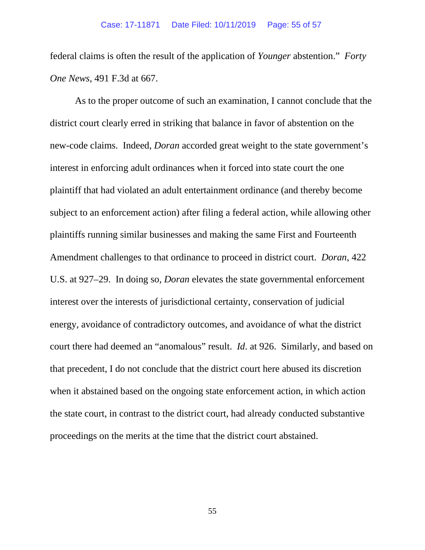federal claims is often the result of the application of *Younger* abstention." *Forty One News*, 491 F.3d at 667.

As to the proper outcome of such an examination, I cannot conclude that the district court clearly erred in striking that balance in favor of abstention on the new-code claims. Indeed, *Doran* accorded great weight to the state government's interest in enforcing adult ordinances when it forced into state court the one plaintiff that had violated an adult entertainment ordinance (and thereby become subject to an enforcement action) after filing a federal action, while allowing other plaintiffs running similar businesses and making the same First and Fourteenth Amendment challenges to that ordinance to proceed in district court. *Doran*, 422 U.S. at 927–29. In doing so, *Doran* elevates the state governmental enforcement interest over the interests of jurisdictional certainty, conservation of judicial energy, avoidance of contradictory outcomes, and avoidance of what the district court there had deemed an "anomalous" result. *Id*. at 926. Similarly, and based on that precedent, I do not conclude that the district court here abused its discretion when it abstained based on the ongoing state enforcement action, in which action the state court, in contrast to the district court, had already conducted substantive proceedings on the merits at the time that the district court abstained.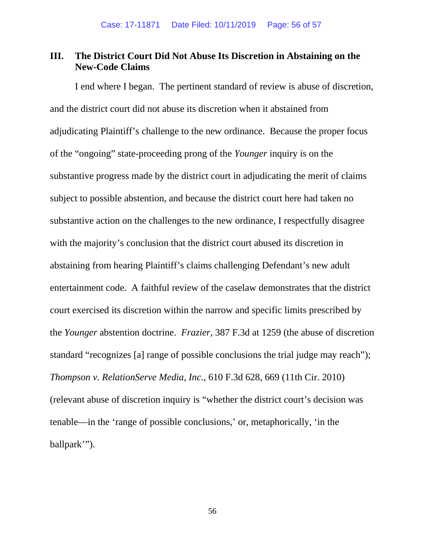# **III. The District Court Did Not Abuse Its Discretion in Abstaining on the New-Code Claims**

I end where I began. The pertinent standard of review is abuse of discretion, and the district court did not abuse its discretion when it abstained from adjudicating Plaintiff's challenge to the new ordinance. Because the proper focus of the "ongoing" state-proceeding prong of the *Younger* inquiry is on the substantive progress made by the district court in adjudicating the merit of claims subject to possible abstention, and because the district court here had taken no substantive action on the challenges to the new ordinance, I respectfully disagree with the majority's conclusion that the district court abused its discretion in abstaining from hearing Plaintiff's claims challenging Defendant's new adult entertainment code. A faithful review of the caselaw demonstrates that the district court exercised its discretion within the narrow and specific limits prescribed by the *Younger* abstention doctrine. *Frazier*, 387 F.3d at 1259 (the abuse of discretion standard "recognizes [a] range of possible conclusions the trial judge may reach"); *Thompson v. RelationServe Media, Inc.*, 610 F.3d 628, 669 (11th Cir. 2010) (relevant abuse of discretion inquiry is "whether the district court's decision was tenable—in the 'range of possible conclusions,' or, metaphorically, 'in the ballpark'").